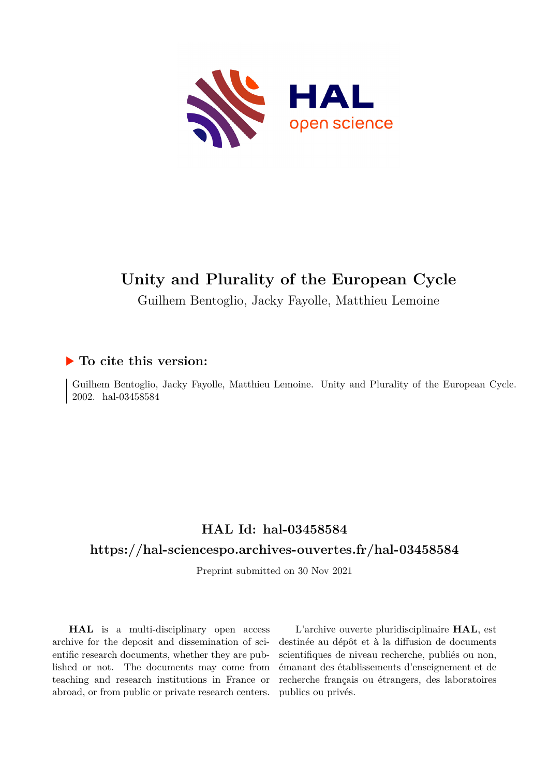

# **Unity and Plurality of the European Cycle**

Guilhem Bentoglio, Jacky Fayolle, Matthieu Lemoine

## **To cite this version:**

Guilhem Bentoglio, Jacky Fayolle, Matthieu Lemoine. Unity and Plurality of the European Cycle. 2002. hal-03458584

# **HAL Id: hal-03458584**

# **<https://hal-sciencespo.archives-ouvertes.fr/hal-03458584>**

Preprint submitted on 30 Nov 2021

**HAL** is a multi-disciplinary open access archive for the deposit and dissemination of scientific research documents, whether they are published or not. The documents may come from teaching and research institutions in France or abroad, or from public or private research centers.

L'archive ouverte pluridisciplinaire **HAL**, est destinée au dépôt et à la diffusion de documents scientifiques de niveau recherche, publiés ou non, émanant des établissements d'enseignement et de recherche français ou étrangers, des laboratoires publics ou privés.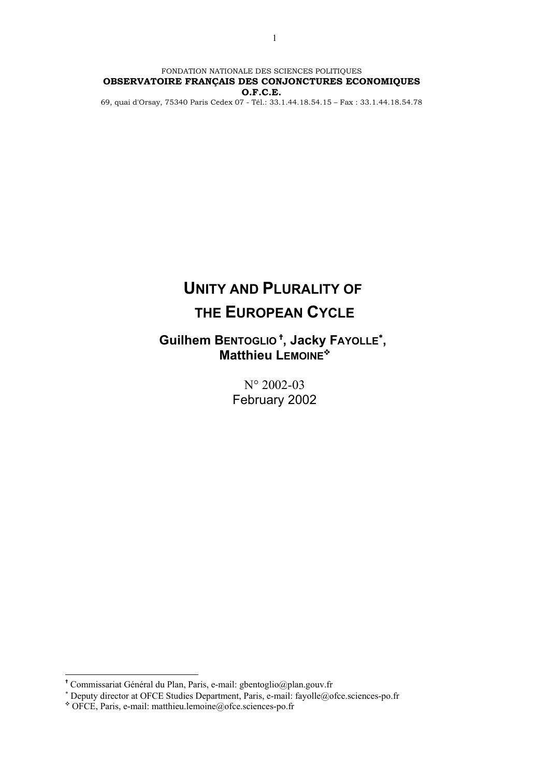FONDATION NATIONALE DES SCIENCES POLITIQUES **OBSERVATOIRE FRANÇAIS DES CONJONCTURES ECONOMIQUES O.F.C.E.** 69, quai d'Orsay, 75340 Paris Cedex 07 - Tél.: 33.1.44.18.54.15 – Fax : 33.1.44.18.54.78

> **UNITY AND PLURALITY OF THE EUROPEAN CYCLE**

# **Guilhem BENTOGLIO [,](#page-1-0) Jacky FAYOLLE**<sup>∗</sup> **[,](#page-1-1)  Matthieu LEMOINE<sup>\*</sup>**

N° 2002-03 February 2002

1

<span id="page-1-0"></span>Commissariat Général du Plan, Paris, e-mail: gbentoglio@plan.gouv.fr

<span id="page-1-1"></span><sup>∗</sup> Deputy director at OFCE Studies Department, Paris, e-mail: fayolle@ofce.sciences-po.fr

<span id="page-1-2"></span><sup>Y</sup> OFCE, Paris, e-mail: matthieu.lemoine@ofce.sciences-po.fr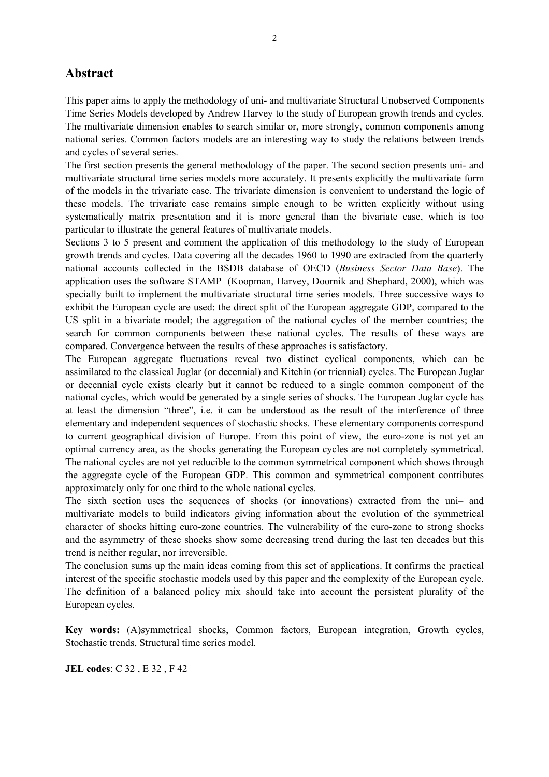## **Abstract**

This paper aims to apply the methodology of uni- and multivariate Structural Unobserved Components Time Series Models developed by Andrew Harvey to the study of European growth trends and cycles. The multivariate dimension enables to search similar or, more strongly, common components among national series. Common factors models are an interesting way to study the relations between trends and cycles of several series.

The first section presents the general methodology of the paper. The second section presents uni- and multivariate structural time series models more accurately. It presents explicitly the multivariate form of the models in the trivariate case. The trivariate dimension is convenient to understand the logic of these models. The trivariate case remains simple enough to be written explicitly without using systematically matrix presentation and it is more general than the bivariate case, which is too particular to illustrate the general features of multivariate models.

Sections 3 to 5 present and comment the application of this methodology to the study of European growth trends and cycles. Data covering all the decades 1960 to 1990 are extracted from the quarterly national accounts collected in the BSDB database of OECD (*Business Sector Data Base*). The application uses the software STAMP (Koopman, Harvey, Doornik and Shephard, 2000), which was specially built to implement the multivariate structural time series models. Three successive ways to exhibit the European cycle are used: the direct split of the European aggregate GDP, compared to the US split in a bivariate model; the aggregation of the national cycles of the member countries; the search for common components between these national cycles. The results of these ways are compared. Convergence between the results of these approaches is satisfactory.

The European aggregate fluctuations reveal two distinct cyclical components, which can be assimilated to the classical Juglar (or decennial) and Kitchin (or triennial) cycles. The European Juglar or decennial cycle exists clearly but it cannot be reduced to a single common component of the national cycles, which would be generated by a single series of shocks. The European Juglar cycle has at least the dimension "three", i.e. it can be understood as the result of the interference of three elementary and independent sequences of stochastic shocks. These elementary components correspond to current geographical division of Europe. From this point of view, the euro-zone is not yet an optimal currency area, as the shocks generating the European cycles are not completely symmetrical. The national cycles are not yet reducible to the common symmetrical component which shows through the aggregate cycle of the European GDP. This common and symmetrical component contributes approximately only for one third to the whole national cycles.

The sixth section uses the sequences of shocks (or innovations) extracted from the uni– and multivariate models to build indicators giving information about the evolution of the symmetrical character of shocks hitting euro-zone countries. The vulnerability of the euro-zone to strong shocks and the asymmetry of these shocks show some decreasing trend during the last ten decades but this trend is neither regular, nor irreversible.

The conclusion sums up the main ideas coming from this set of applications. It confirms the practical interest of the specific stochastic models used by this paper and the complexity of the European cycle. The definition of a balanced policy mix should take into account the persistent plurality of the European cycles.

**Key words:** (A)symmetrical shocks, Common factors, European integration, Growth cycles, Stochastic trends, Structural time series model.

**JEL codes**: C 32 , E 32 , F 42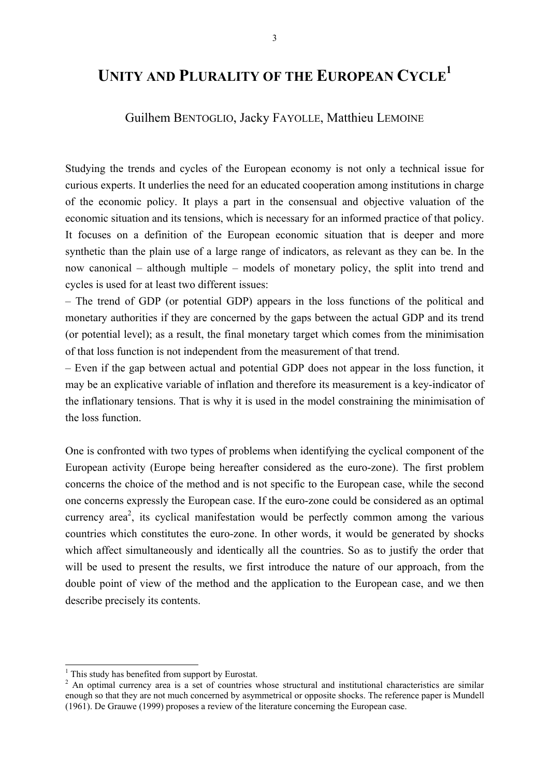# **UNITY AND PLURALITY OF THE EUROPEAN CYCL[E1](#page-3-0)**

### Guilhem BENTOGLIO, Jacky FAYOLLE, Matthieu LEMOINE

Studying the trends and cycles of the European economy is not only a technical issue for curious experts. It underlies the need for an educated cooperation among institutions in charge of the economic policy. It plays a part in the consensual and objective valuation of the economic situation and its tensions, which is necessary for an informed practice of that policy. It focuses on a definition of the European economic situation that is deeper and more synthetic than the plain use of a large range of indicators, as relevant as they can be. In the now canonical – although multiple – models of monetary policy, the split into trend and cycles is used for at least two different issues:

– The trend of GDP (or potential GDP) appears in the loss functions of the political and monetary authorities if they are concerned by the gaps between the actual GDP and its trend (or potential level); as a result, the final monetary target which comes from the minimisation of that loss function is not independent from the measurement of that trend.

– Even if the gap between actual and potential GDP does not appear in the loss function, it may be an explicative variable of inflation and therefore its measurement is a key-indicator of the inflationary tensions. That is why it is used in the model constraining the minimisation of the loss function.

One is confronted with two types of problems when identifying the cyclical component of the European activity (Europe being hereafter considered as the euro-zone). The first problem concerns the choice of the method and is not specific to the European case, while the second one concerns expressly the European case. If the euro-zone could be considered as an optimal currency area<sup>2</sup>, its cyclical manifestation would be perfectly common among the various countries which constitutes the euro-zone. In other words, it would be generated by shocks which affect simultaneously and identically all the countries. So as to justify the order that will be used to present the results, we first introduce the nature of our approach, from the double point of view of the method and the application to the European case, and we then describe precisely its contents.

-

<span id="page-3-0"></span> $<sup>1</sup>$  This study has benefited from support by Eurostat.</sup>

<span id="page-3-1"></span><sup>&</sup>lt;sup>2</sup> An optimal currency area is a set of countries whose structural and institutional characteristics are similar enough so that they are not much concerned by asymmetrical or opposite shocks. The reference paper is Mundell (1961). De Grauwe (1999) proposes a review of the literature concerning the European case.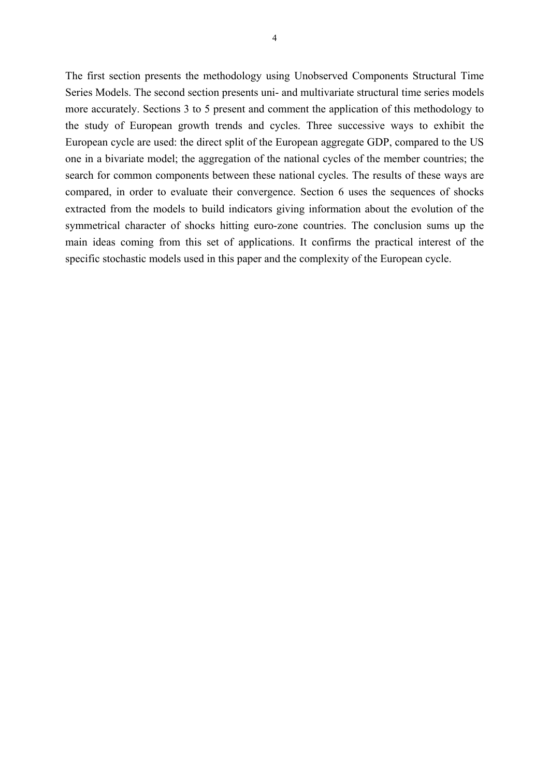The first section presents the methodology using Unobserved Components Structural Time Series Models. The second section presents uni- and multivariate structural time series models more accurately. Sections 3 to 5 present and comment the application of this methodology to the study of European growth trends and cycles. Three successive ways to exhibit the European cycle are used: the direct split of the European aggregate GDP, compared to the US one in a bivariate model; the aggregation of the national cycles of the member countries; the search for common components between these national cycles. The results of these ways are compared, in order to evaluate their convergence. Section 6 uses the sequences of shocks extracted from the models to build indicators giving information about the evolution of the symmetrical character of shocks hitting euro-zone countries. The conclusion sums up the main ideas coming from this set of applications. It confirms the practical interest of the specific stochastic models used in this paper and the complexity of the European cycle.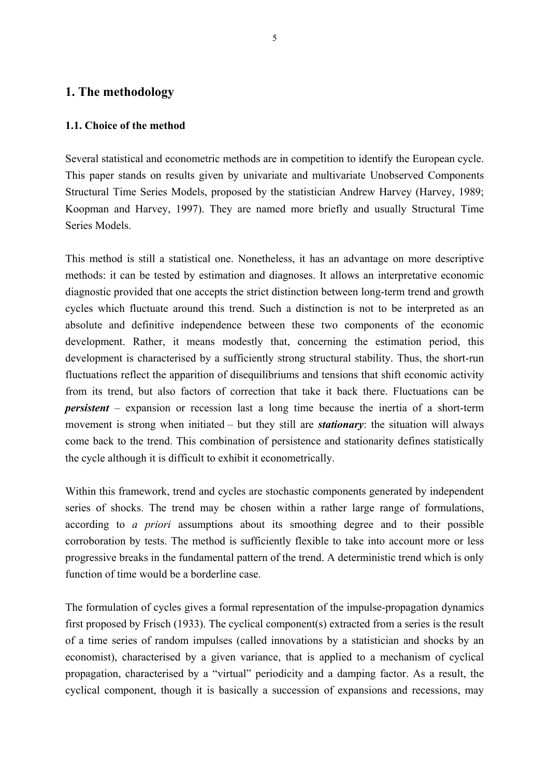### **1. The methodology**

### **1.1. Choice of the method**

Several statistical and econometric methods are in competition to identify the European cycle. This paper stands on results given by univariate and multivariate Unobserved Components Structural Time Series Models, proposed by the statistician Andrew Harvey (Harvey, 1989; Koopman and Harvey, 1997). They are named more briefly and usually Structural Time Series Models.

This method is still a statistical one. Nonetheless, it has an advantage on more descriptive methods: it can be tested by estimation and diagnoses. It allows an interpretative economic diagnostic provided that one accepts the strict distinction between long-term trend and growth cycles which fluctuate around this trend. Such a distinction is not to be interpreted as an absolute and definitive independence between these two components of the economic development. Rather, it means modestly that, concerning the estimation period, this development is characterised by a sufficiently strong structural stability. Thus, the short-run fluctuations reflect the apparition of disequilibriums and tensions that shift economic activity from its trend, but also factors of correction that take it back there. Fluctuations can be *persistent* – expansion or recession last a long time because the inertia of a short-term movement is strong when initiated – but they still are *stationary*: the situation will always come back to the trend. This combination of persistence and stationarity defines statistically the cycle although it is difficult to exhibit it econometrically.

Within this framework, trend and cycles are stochastic components generated by independent series of shocks. The trend may be chosen within a rather large range of formulations, according to *a priori* assumptions about its smoothing degree and to their possible corroboration by tests. The method is sufficiently flexible to take into account more or less progressive breaks in the fundamental pattern of the trend. A deterministic trend which is only function of time would be a borderline case.

The formulation of cycles gives a formal representation of the impulse-propagation dynamics first proposed by Frisch (1933). The cyclical component(s) extracted from a series is the result of a time series of random impulses (called innovations by a statistician and shocks by an economist), characterised by a given variance, that is applied to a mechanism of cyclical propagation, characterised by a "virtual" periodicity and a damping factor. As a result, the cyclical component, though it is basically a succession of expansions and recessions, may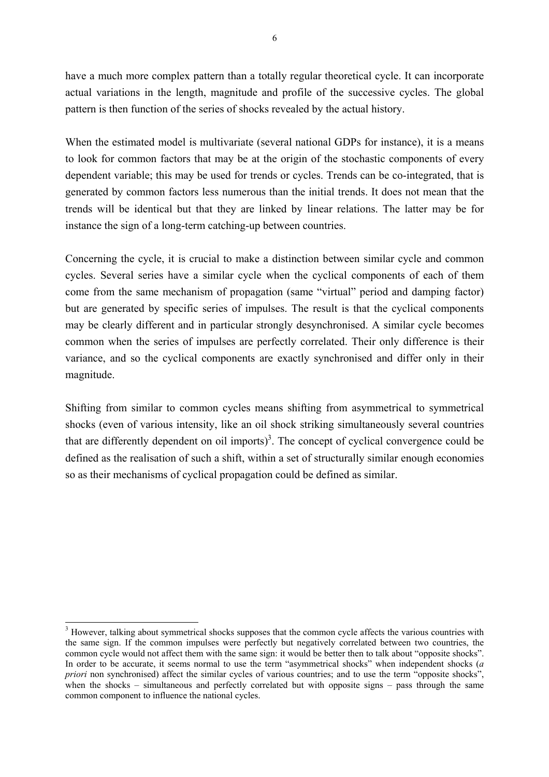have a much more complex pattern than a totally regular theoretical cycle. It can incorporate actual variations in the length, magnitude and profile of the successive cycles. The global pattern is then function of the series of shocks revealed by the actual history.

When the estimated model is multivariate (several national GDPs for instance), it is a means to look for common factors that may be at the origin of the stochastic components of every dependent variable; this may be used for trends or cycles. Trends can be co-integrated, that is generated by common factors less numerous than the initial trends. It does not mean that the trends will be identical but that they are linked by linear relations. The latter may be for instance the sign of a long-term catching-up between countries.

Concerning the cycle, it is crucial to make a distinction between similar cycle and common cycles. Several series have a similar cycle when the cyclical components of each of them come from the same mechanism of propagation (same "virtual" period and damping factor) but are generated by specific series of impulses. The result is that the cyclical components may be clearly different and in particular strongly desynchronised. A similar cycle becomes common when the series of impulses are perfectly correlated. Their only difference is their variance, and so the cyclical components are exactly synchronised and differ only in their magnitude.

Shifting from similar to common cycles means shifting from asymmetrical to symmetrical shocks (even of various intensity, like an oil shock striking simultaneously several countries that are differently dependent on oil imports)<sup>3</sup>. The concept of cyclical convergence could be defined as the realisation of such a shift, within a set of structurally similar enough economies so as their mechanisms of cyclical propagation could be defined as similar.

-

<span id="page-6-0"></span><sup>&</sup>lt;sup>3</sup> However, talking about symmetrical shocks supposes that the common cycle affects the various countries with the same sign. If the common impulses were perfectly but negatively correlated between two countries, the common cycle would not affect them with the same sign: it would be better then to talk about "opposite shocks". In order to be accurate, it seems normal to use the term "asymmetrical shocks" when independent shocks (*a priori* non synchronised) affect the similar cycles of various countries; and to use the term "opposite shocks", when the shocks – simultaneous and perfectly correlated but with opposite signs – pass through the same common component to influence the national cycles.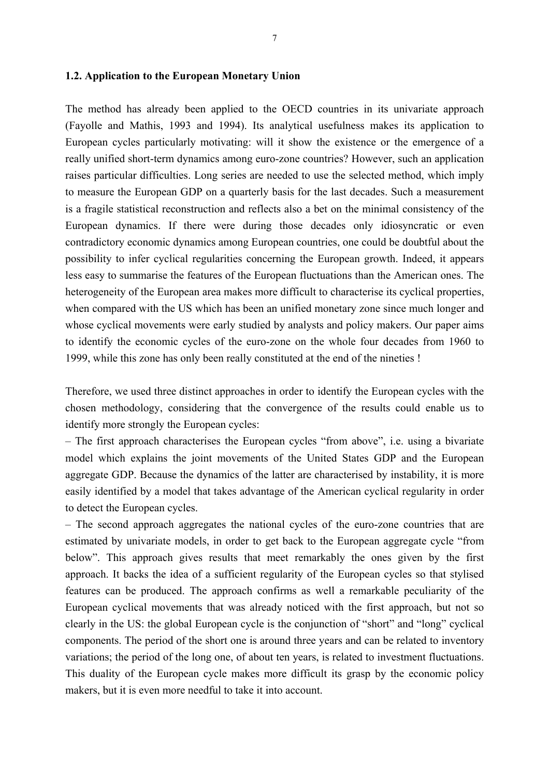### **1.2. Application to the European Monetary Union**

The method has already been applied to the OECD countries in its univariate approach (Fayolle and Mathis, 1993 and 1994). Its analytical usefulness makes its application to European cycles particularly motivating: will it show the existence or the emergence of a really unified short-term dynamics among euro-zone countries? However, such an application raises particular difficulties. Long series are needed to use the selected method, which imply to measure the European GDP on a quarterly basis for the last decades. Such a measurement is a fragile statistical reconstruction and reflects also a bet on the minimal consistency of the European dynamics. If there were during those decades only idiosyncratic or even contradictory economic dynamics among European countries, one could be doubtful about the possibility to infer cyclical regularities concerning the European growth. Indeed, it appears less easy to summarise the features of the European fluctuations than the American ones. The heterogeneity of the European area makes more difficult to characterise its cyclical properties, when compared with the US which has been an unified monetary zone since much longer and whose cyclical movements were early studied by analysts and policy makers. Our paper aims to identify the economic cycles of the euro-zone on the whole four decades from 1960 to 1999, while this zone has only been really constituted at the end of the nineties !

Therefore, we used three distinct approaches in order to identify the European cycles with the chosen methodology, considering that the convergence of the results could enable us to identify more strongly the European cycles:

– The first approach characterises the European cycles "from above", i.e. using a bivariate model which explains the joint movements of the United States GDP and the European aggregate GDP. Because the dynamics of the latter are characterised by instability, it is more easily identified by a model that takes advantage of the American cyclical regularity in order to detect the European cycles.

– The second approach aggregates the national cycles of the euro-zone countries that are estimated by univariate models, in order to get back to the European aggregate cycle "from below". This approach gives results that meet remarkably the ones given by the first approach. It backs the idea of a sufficient regularity of the European cycles so that stylised features can be produced. The approach confirms as well a remarkable peculiarity of the European cyclical movements that was already noticed with the first approach, but not so clearly in the US: the global European cycle is the conjunction of "short" and "long" cyclical components. The period of the short one is around three years and can be related to inventory variations; the period of the long one, of about ten years, is related to investment fluctuations. This duality of the European cycle makes more difficult its grasp by the economic policy makers, but it is even more needful to take it into account.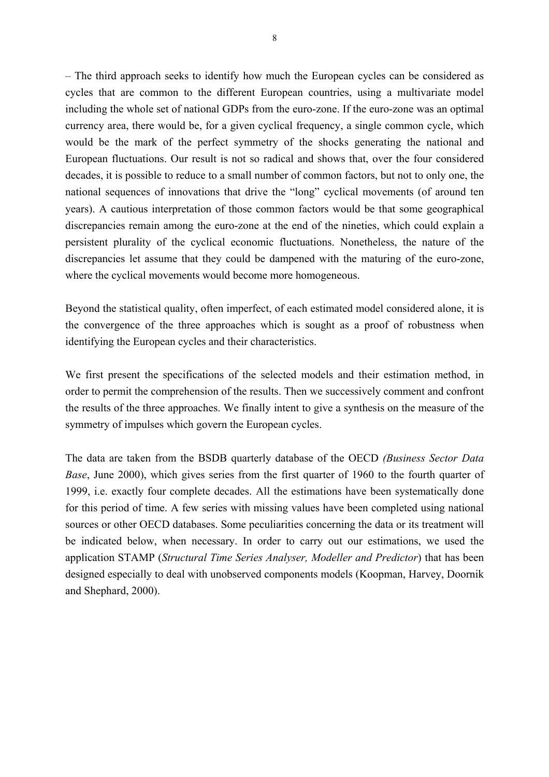– The third approach seeks to identify how much the European cycles can be considered as cycles that are common to the different European countries, using a multivariate model including the whole set of national GDPs from the euro-zone. If the euro-zone was an optimal currency area, there would be, for a given cyclical frequency, a single common cycle, which would be the mark of the perfect symmetry of the shocks generating the national and European fluctuations. Our result is not so radical and shows that, over the four considered decades, it is possible to reduce to a small number of common factors, but not to only one, the national sequences of innovations that drive the "long" cyclical movements (of around ten years). A cautious interpretation of those common factors would be that some geographical discrepancies remain among the euro-zone at the end of the nineties, which could explain a persistent plurality of the cyclical economic fluctuations. Nonetheless, the nature of the discrepancies let assume that they could be dampened with the maturing of the euro-zone, where the cyclical movements would become more homogeneous.

Beyond the statistical quality, often imperfect, of each estimated model considered alone, it is the convergence of the three approaches which is sought as a proof of robustness when identifying the European cycles and their characteristics.

We first present the specifications of the selected models and their estimation method, in order to permit the comprehension of the results. Then we successively comment and confront the results of the three approaches. We finally intent to give a synthesis on the measure of the symmetry of impulses which govern the European cycles.

The data are taken from the BSDB quarterly database of the OECD *(Business Sector Data Base*, June 2000), which gives series from the first quarter of 1960 to the fourth quarter of 1999, i.e. exactly four complete decades. All the estimations have been systematically done for this period of time. A few series with missing values have been completed using national sources or other OECD databases. Some peculiarities concerning the data or its treatment will be indicated below, when necessary. In order to carry out our estimations, we used the application STAMP (*Structural Time Series Analyser, Modeller and Predictor*) that has been designed especially to deal with unobserved components models (Koopman, Harvey, Doornik and Shephard, 2000).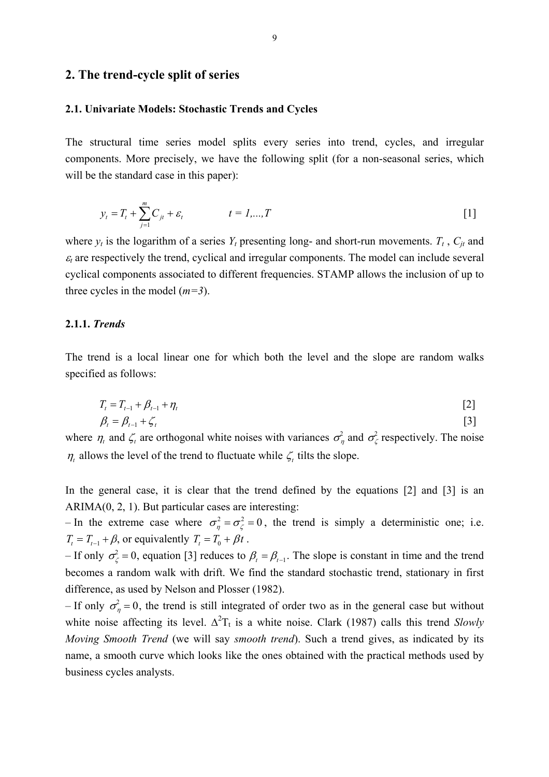### **2. The trend-cycle split of series**

### **2.1. Univariate Models: Stochastic Trends and Cycles**

The structural time series model splits every series into trend, cycles, and irregular components. More precisely, we have the following split (for a non-seasonal series, which will be the standard case in this paper):

$$
y_t = T_t + \sum_{j=1}^{m} C_{jt} + \varepsilon_t \qquad \qquad t = 1,...,T
$$
 [1]

where  $y_t$  is the logarithm of a series  $Y_t$  presenting long- and short-run movements.  $T_t$ ,  $C_{it}$  and  $\varepsilon_t$  are respectively the trend, cyclical and irregular components. The model can include several cyclical components associated to different frequencies. STAMP allows the inclusion of up to three cycles in the model (*m=3*).

### **2.1.1.** *Trends*

The trend is a local linear one for which both the level and the slope are random walks specified as follows:

$$
T_t = T_{t-1} + \beta_{t-1} + \eta_t \tag{2}
$$

$$
\beta_t = \beta_{t-1} + \zeta_t \tag{3}
$$

where  $\eta_t$  and  $\zeta_t$  are orthogonal white noises with variances  $\sigma_\eta^2$  and  $\sigma_\zeta^2$  respectively. The noise  $\eta_t$  allows the level of the trend to fluctuate while  $\zeta_t$  tilts the slope.

In the general case, it is clear that the trend defined by the equations [2] and [3] is an  $ARIMA(0, 2, 1)$ . But particular cases are interesting:

– In the extreme case where  $\sigma_n^2 = \sigma_\zeta^2 = 0$ , the trend is simply a deterministic one; i.e.  $T_t = T_{t-1} + \beta$ , or equivalently  $T_t = T_0 + \beta t$ .

 $-$  If only  $σ^2_\zeta = 0$ , equation [3] reduces to  $β_t = β_{t-1}$ . The slope is constant in time and the trend becomes a random walk with drift. We find the standard stochastic trend, stationary in first difference, as used by Nelson and Plosser (1982).

– If only  $\sigma_{\eta}^2 = 0$ , the trend is still integrated of order two as in the general case but without white noise affecting its level.  $\Delta^2 T_t$  is a white noise. Clark (1987) calls this trend *Slowly Moving Smooth Trend* (we will say *smooth trend*). Such a trend gives, as indicated by its name, a smooth curve which looks like the ones obtained with the practical methods used by business cycles analysts.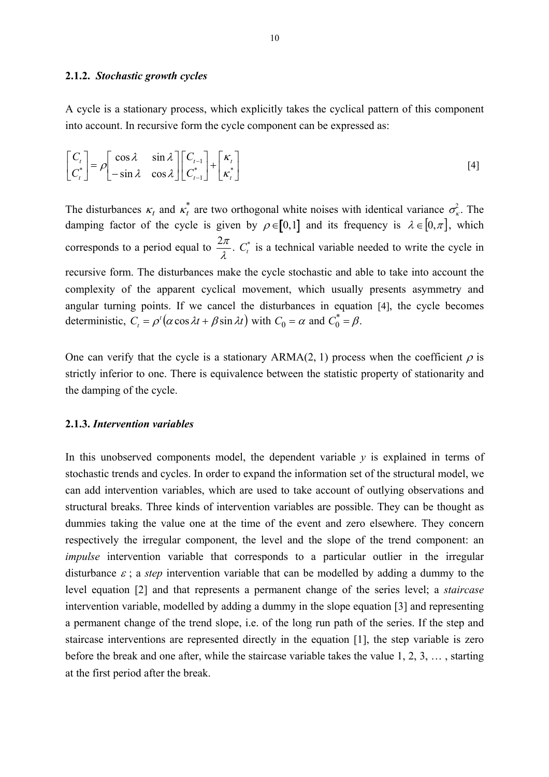### **2.1.2.** *Stochastic growth cycles*

A cycle is a stationary process, which explicitly takes the cyclical pattern of this component into account. In recursive form the cycle component can be expressed as:

$$
\begin{bmatrix} C_t \\ C_t^* \end{bmatrix} = \rho \begin{bmatrix} \cos \lambda & \sin \lambda \\ -\sin \lambda & \cos \lambda \end{bmatrix} \begin{bmatrix} C_{t-1} \\ C_{t-1}^* \end{bmatrix} + \begin{bmatrix} \kappa_t \\ \kappa_t^* \end{bmatrix} \tag{4}
$$

The disturbances  $\kappa_t$  and  $\kappa_t^*$  are two orthogonal white noises with identical variance  $\sigma_{\kappa}^2$ . The damping factor of the cycle is given by  $\rho \in [0,1]$  and its frequency is  $\lambda \in [0,\pi]$ , which corresponds to a period equal to  $\frac{2\pi}{\lambda}$ .  $C_t^*$  is a technical variable needed to write the cycle in recursive form. The disturbances make the cycle stochastic and able to take into account the complexity of the apparent cyclical movement, which usually presents asymmetry and angular turning points. If we cancel the disturbances in equation [4], the cycle becomes deterministic,  $C_t = \rho'(\alpha \cos \lambda t + \beta \sin \lambda t)$  with  $C_0 = \alpha$  and  $C_0^* = \beta$ .

One can verify that the cycle is a stationary ARMA(2, 1) process when the coefficient  $\rho$  is strictly inferior to one. There is equivalence between the statistic property of stationarity and the damping of the cycle.

### **2.1.3.** *Intervention variables*

In this unobserved components model, the dependent variable *y* is explained in terms of stochastic trends and cycles. In order to expand the information set of the structural model, we can add intervention variables, which are used to take account of outlying observations and structural breaks. Three kinds of intervention variables are possible. They can be thought as dummies taking the value one at the time of the event and zero elsewhere. They concern respectively the irregular component, the level and the slope of the trend component: an *impulse* intervention variable that corresponds to a particular outlier in the irregular disturbance  $\varepsilon$ ; a *step* intervention variable that can be modelled by adding a dummy to the level equation [2] and that represents a permanent change of the series level; a *staircase* intervention variable, modelled by adding a dummy in the slope equation [3] and representing a permanent change of the trend slope, i.e. of the long run path of the series. If the step and staircase interventions are represented directly in the equation [1], the step variable is zero before the break and one after, while the staircase variable takes the value 1, 2, 3, … , starting at the first period after the break.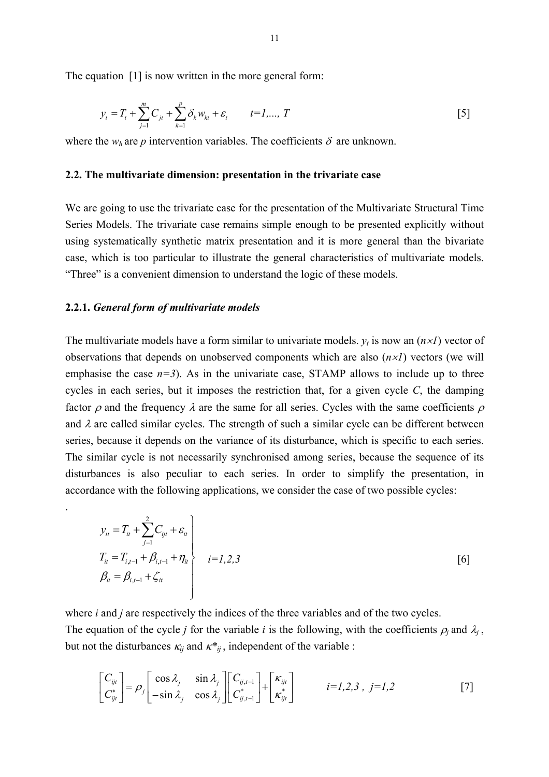The equation [1] is now written in the more general form:

$$
y_{t} = T_{t} + \sum_{j=1}^{m} C_{jt} + \sum_{k=1}^{p} \delta_{k} w_{kt} + \varepsilon_{t} \qquad t = 1,..., T
$$
 [5]

where the  $w_h$  are *p* intervention variables. The coefficients  $\delta$  are unknown.

### **2.2. The multivariate dimension: presentation in the trivariate case**

We are going to use the trivariate case for the presentation of the Multivariate Structural Time Series Models. The trivariate case remains simple enough to be presented explicitly without using systematically synthetic matrix presentation and it is more general than the bivariate case, which is too particular to illustrate the general characteristics of multivariate models. "Three" is a convenient dimension to understand the logic of these models.

#### **2.2.1.** *General form of multivariate models*

.

The multivariate models have a form similar to univariate models.  $y_t$  is now an  $(n \times I)$  vector of observations that depends on unobserved components which are also (*n*×*1*) vectors (we will emphasise the case  $n=3$ ). As in the univariate case, STAMP allows to include up to three cycles in each series, but it imposes the restriction that, for a given cycle  $C$ , the damping factor  $\rho$  and the frequency  $\lambda$  are the same for all series. Cycles with the same coefficients  $\rho$ and  $\lambda$  are called similar cycles. The strength of such a similar cycle can be different between series, because it depends on the variance of its disturbance, which is specific to each series. The similar cycle is not necessarily synchronised among series, because the sequence of its disturbances is also peculiar to each series. In order to simplify the presentation, in accordance with the following applications, we consider the case of two possible cycles:

$$
y_{it} = T_{it} + \sum_{j=1}^{2} C_{ijt} + \varepsilon_{it}
$$
  
\n
$$
T_{it} = T_{i,t-1} + \beta_{i,t-1} + \eta_{it}
$$
  
\n
$$
\beta_{it} = \beta_{i,t-1} + \zeta_{it}
$$
  
\n
$$
\begin{bmatrix} 6 \end{bmatrix}
$$

where *i* and *j* are respectively the indices of the three variables and of the two cycles. The equation of the cycle *j* for the variable *i* is the following, with the coefficients  $\rho_j$  and  $\lambda_j$ , but not the disturbances  $\kappa_{ij}$  and  $\kappa^*_{ij}$ , independent of the variable :

$$
\begin{bmatrix} C_{ijt} \\ C_{ijt}^* \end{bmatrix} = \rho_j \begin{bmatrix} \cos \lambda_j & \sin \lambda_j \\ -\sin \lambda_j & \cos \lambda_j \end{bmatrix} \begin{bmatrix} C_{ij,t-1} \\ C_{ij,t-1}^* \end{bmatrix} + \begin{bmatrix} \kappa_{ijt} \\ \kappa_{ijt}^* \end{bmatrix} \qquad i = 1, 2, 3, \ j = 1, 2 \tag{7}
$$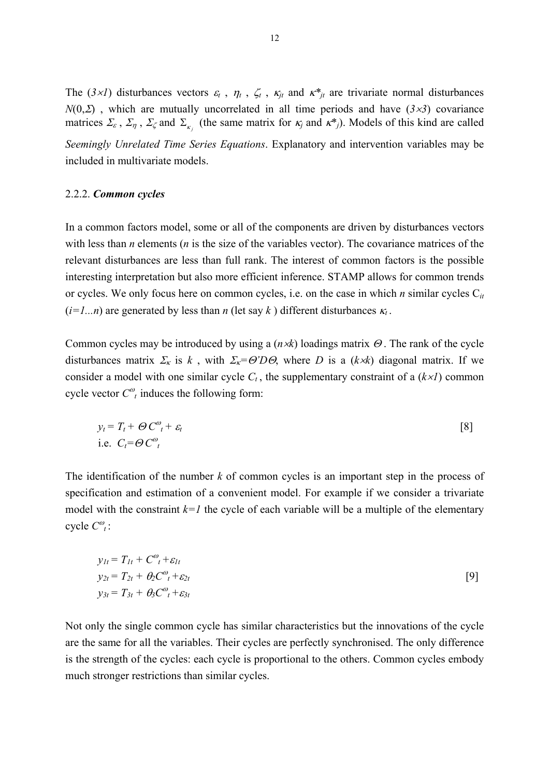The ( $3\times1$ ) disturbances vectors  $\varepsilon_t$ ,  $\eta_t$ ,  $\zeta_t$ ,  $\kappa_{jt}$  and  $\kappa^*_{jt}$  are trivariate normal disturbances  $N(0, \Sigma)$ , which are mutually uncorrelated in all time periods and have  $(3 \times 3)$  covariance matrices  $\Sigma_{\varepsilon}$ ,  $\Sigma_{\eta}$ ,  $\Sigma_{\zeta}$  and  $\Sigma_{\kappa_i}$  (the same matrix for  $\kappa_j$  and  $\kappa^*_{j}$ ). Models of this kind are called *Seemingly Unrelated Time Series Equations*. Explanatory and intervention variables may be included in multivariate models.

#### 2.2.2. *Common cycles*

In a common factors model, some or all of the components are driven by disturbances vectors with less than *n* elements (*n* is the size of the variables vector). The covariance matrices of the relevant disturbances are less than full rank. The interest of common factors is the possible interesting interpretation but also more efficient inference. STAMP allows for common trends or cycles. We only focus here on common cycles, i.e. on the case in which *n* similar cycles C*it*  $(i=1...n)$  are generated by less than *n* (let say *k*) different disturbances  $\kappa_t$ .

Common cycles may be introduced by using a (*n*×*k*) loadings matrix Θ . The rank of the cycle disturbances matrix  $\Sigma_{\kappa}$  is *k*, with  $\Sigma_{\kappa} = \Theta' D \Theta$ , where *D* is a (*k*×*k*) diagonal matrix. If we consider a model with one similar cycle  $C_t$ , the supplementary constraint of a  $(k \times l)$  common cycle vector  $C^{\omega}_{t}$  induces the following form:

$$
y_t = T_t + \Theta C^{\omega}_t + \varepsilon_t
$$
  
i.e.  $C_t = \Theta C^{\omega}_t$  [8]

The identification of the number *k* of common cycles is an important step in the process of specification and estimation of a convenient model. For example if we consider a trivariate model with the constraint  $k=1$  the cycle of each variable will be a multiple of the elementary cycle  $C^{\omega}_{t}$ :

$$
y_{1t} = T_{1t} + C^{\omega}_{t} + \varepsilon_{1t}
$$
  
\n
$$
y_{2t} = T_{2t} + \theta_{2}C^{\omega}_{t} + \varepsilon_{2t}
$$
  
\n
$$
y_{3t} = T_{3t} + \theta_{3}C^{\omega}_{t} + \varepsilon_{3t}
$$
 [9]

Not only the single common cycle has similar characteristics but the innovations of the cycle are the same for all the variables. Their cycles are perfectly synchronised. The only difference is the strength of the cycles: each cycle is proportional to the others. Common cycles embody much stronger restrictions than similar cycles.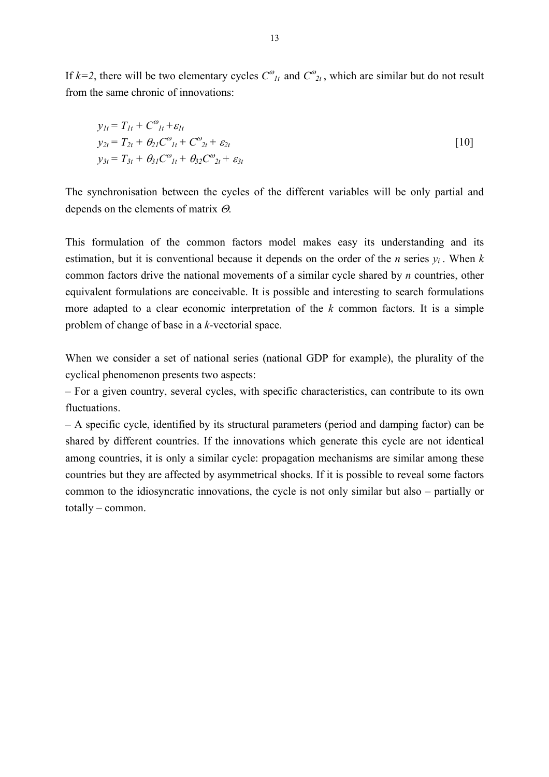If  $k=2$ , there will be two elementary cycles  $C^{\omega}_{lt}$  and  $C^{\omega}_{lt}$ , which are similar but do not result from the same chronic of innovations:

$$
y_{1t} = T_{1t} + C^{\omega}_{1t} + \varepsilon_{1t}
$$
  
\n
$$
y_{2t} = T_{2t} + \theta_{21}C^{\omega}_{1t} + C^{\omega}_{2t} + \varepsilon_{2t}
$$
  
\n
$$
y_{3t} = T_{3t} + \theta_{31}C^{\omega}_{1t} + \theta_{32}C^{\omega}_{2t} + \varepsilon_{3t}
$$
\n[10]

The synchronisation between the cycles of the different variables will be only partial and depends on the elements of matrix Θ.

This formulation of the common factors model makes easy its understanding and its estimation, but it is conventional because it depends on the order of the *n* series *yi* . When *k* common factors drive the national movements of a similar cycle shared by *n* countries, other equivalent formulations are conceivable. It is possible and interesting to search formulations more adapted to a clear economic interpretation of the *k* common factors. It is a simple problem of change of base in a *k*-vectorial space.

When we consider a set of national series (national GDP for example), the plurality of the cyclical phenomenon presents two aspects:

– For a given country, several cycles, with specific characteristics, can contribute to its own fluctuations.

– A specific cycle, identified by its structural parameters (period and damping factor) can be shared by different countries. If the innovations which generate this cycle are not identical among countries, it is only a similar cycle: propagation mechanisms are similar among these countries but they are affected by asymmetrical shocks. If it is possible to reveal some factors common to the idiosyncratic innovations, the cycle is not only similar but also – partially or totally – common.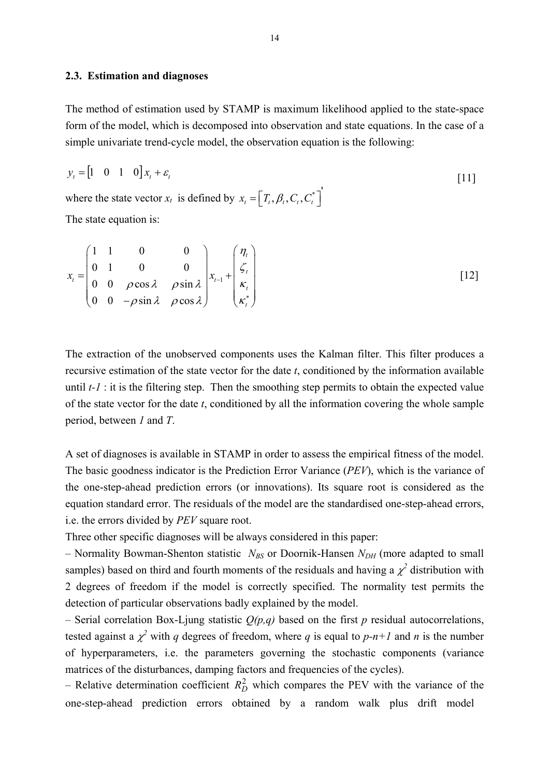### **2.3. Estimation and diagnoses**

The method of estimation used by STAMP is maximum likelihood applied to the state-space form of the model, which is decomposed into observation and state equations. In the case of a simple univariate trend-cycle model, the observation equation is the following:

$$
y_t = \begin{bmatrix} 1 & 0 & 1 & 0 \end{bmatrix} x_t + \varepsilon_t
$$
  
where the state vector  $x_t$  is defined by  $x_t = \begin{bmatrix} T_t, \beta_t, C_t, C_t^* \end{bmatrix}$  [11]

The state equation is:

$$
x_{t} = \begin{pmatrix} 1 & 1 & 0 & 0 \\ 0 & 1 & 0 & 0 \\ 0 & 0 & \rho \cos \lambda & \rho \sin \lambda \\ 0 & 0 & -\rho \sin \lambda & \rho \cos \lambda \end{pmatrix} x_{t-1} + \begin{pmatrix} \eta_{t} \\ \zeta_{t} \\ \kappa_{t} \\ \kappa_{t}^* \end{pmatrix}
$$
 [12]

The extraction of the unobserved components uses the Kalman filter. This filter produces a recursive estimation of the state vector for the date *t*, conditioned by the information available until *t-1* : it is the filtering step. Then the smoothing step permits to obtain the expected value of the state vector for the date *t*, conditioned by all the information covering the whole sample period, between *1* and *T*.

A set of diagnoses is available in STAMP in order to assess the empirical fitness of the model. The basic goodness indicator is the Prediction Error Variance (*PEV*), which is the variance of the one-step-ahead prediction errors (or innovations). Its square root is considered as the equation standard error. The residuals of the model are the standardised one-step-ahead errors, i.e. the errors divided by *PEV* square root.

Three other specific diagnoses will be always considered in this paper:

– Normality Bowman-Shenton statistic  $N_{BS}$  or Doornik-Hansen  $N_{DH}$  (more adapted to small samples) based on third and fourth moments of the residuals and having a  $\chi^2$  distribution with 2 degrees of freedom if the model is correctly specified. The normality test permits the detection of particular observations badly explained by the model.

– Serial correlation Box-Ljung statistic  $Q(p,q)$  based on the first p residual autocorrelations, tested against a  $\chi^2$  with *q* degrees of freedom, where *q* is equal to *p-n+1* and *n* is the number of hyperparameters, i.e. the parameters governing the stochastic components (variance matrices of the disturbances, damping factors and frequencies of the cycles).

– Relative determination coefficient  $R_D^2$  which compares the PEV with the variance of the one-step-ahead prediction errors obtained by a random walk plus drift model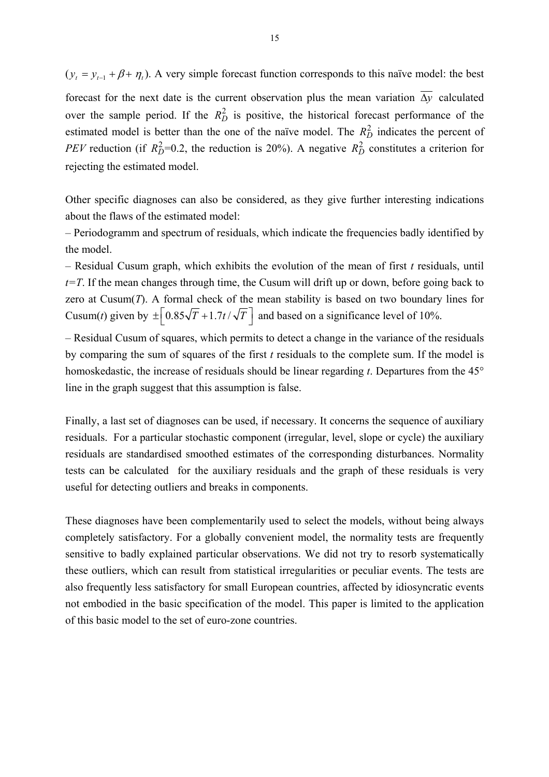$(y_t = y_{t-1} + \beta + \eta_t)$ . A very simple forecast function corresponds to this naïve model: the best

forecast for the next date is the current observation plus the mean variation  $\overline{\Delta y}$  calculated over the sample period. If the  $R_D^2$  is positive, the historical forecast performance of the estimated model is better than the one of the naïve model. The  $R_D^2$  indicates the percent of *PEV* reduction (if  $R_D^2$ =0.2, the reduction is 20%). A negative  $R_D^2$  constitutes a criterion for rejecting the estimated model.

Other specific diagnoses can also be considered, as they give further interesting indications about the flaws of the estimated model:

– Periodogramm and spectrum of residuals, which indicate the frequencies badly identified by the model.

– Residual Cusum graph, which exhibits the evolution of the mean of first *t* residuals, until  $t=T$ . If the mean changes through time, the Cusum will drift up or down, before going back to zero at Cusum $(T)$ . A formal check of the mean stability is based on two boundary lines for Cusum(*t*) given by  $\pm \left[ 0.85\sqrt{T} + 1.7t/\sqrt{T} \right]$  and based on a significance level of 10%.

– Residual Cusum of squares, which permits to detect a change in the variance of the residuals by comparing the sum of squares of the first *t* residuals to the complete sum. If the model is homoskedastic, the increase of residuals should be linear regarding *t*. Departures from the 45° line in the graph suggest that this assumption is false.

Finally, a last set of diagnoses can be used, if necessary. It concerns the sequence of auxiliary residuals. For a particular stochastic component (irregular, level, slope or cycle) the auxiliary residuals are standardised smoothed estimates of the corresponding disturbances. Normality tests can be calculated for the auxiliary residuals and the graph of these residuals is very useful for detecting outliers and breaks in components.

These diagnoses have been complementarily used to select the models, without being always completely satisfactory. For a globally convenient model, the normality tests are frequently sensitive to badly explained particular observations. We did not try to resorb systematically these outliers, which can result from statistical irregularities or peculiar events. The tests are also frequently less satisfactory for small European countries, affected by idiosyncratic events not embodied in the basic specification of the model. This paper is limited to the application of this basic model to the set of euro-zone countries.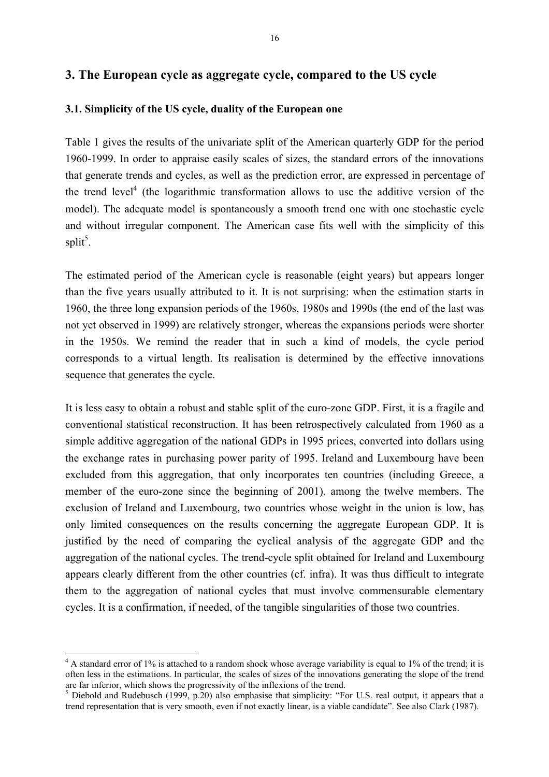## **3. The European cycle as aggregate cycle, compared to the US cycle**

### **3.1. Simplicity of the US cycle, duality of the European one**

Table 1 gives the results of the univariate split of the American quarterly GDP for the period 1960-1999. In order to appraise easily scales of sizes, the standard errors of the innovations that generate trends and cycles, as well as the prediction error, are expressed in percentage of the trend level<sup>4</sup> (the logarithmic transformation allows to use the additive version of the model). The adequate model is spontaneously a smooth trend one with one stochastic cycle and without irregular component. The American case fits well with the simplicity of this split<sup>[5](#page-16-1)</sup>.

The estimated period of the American cycle is reasonable (eight years) but appears longer than the five years usually attributed to it. It is not surprising: when the estimation starts in 1960, the three long expansion periods of the 1960s, 1980s and 1990s (the end of the last was not yet observed in 1999) are relatively stronger, whereas the expansions periods were shorter in the 1950s. We remind the reader that in such a kind of models, the cycle period corresponds to a virtual length. Its realisation is determined by the effective innovations sequence that generates the cycle.

It is less easy to obtain a robust and stable split of the euro-zone GDP. First, it is a fragile and conventional statistical reconstruction. It has been retrospectively calculated from 1960 as a simple additive aggregation of the national GDPs in 1995 prices, converted into dollars using the exchange rates in purchasing power parity of 1995. Ireland and Luxembourg have been excluded from this aggregation, that only incorporates ten countries (including Greece, a member of the euro-zone since the beginning of 2001), among the twelve members. The exclusion of Ireland and Luxembourg, two countries whose weight in the union is low, has only limited consequences on the results concerning the aggregate European GDP. It is justified by the need of comparing the cyclical analysis of the aggregate GDP and the aggregation of the national cycles. The trend-cycle split obtained for Ireland and Luxembourg appears clearly different from the other countries (cf. infra). It was thus difficult to integrate them to the aggregation of national cycles that must involve commensurable elementary cycles. It is a confirmation, if needed, of the tangible singularities of those two countries.

-

<span id="page-16-0"></span> $4$  A standard error of 1% is attached to a random shock whose average variability is equal to 1% of the trend; it is often less in the estimations. In particular, the scales of sizes of the innovations generating the slope of the trend are far inferior, which shows the progressivity of the inflexions of the trend.

<span id="page-16-1"></span> $<sup>5</sup>$  Diebold and Rudebusch (1999, p.20) also emphasise that simplicity: "For U.S. real output, it appears that a</sup> trend representation that is very smooth, even if not exactly linear, is a viable candidate". See also Clark (1987).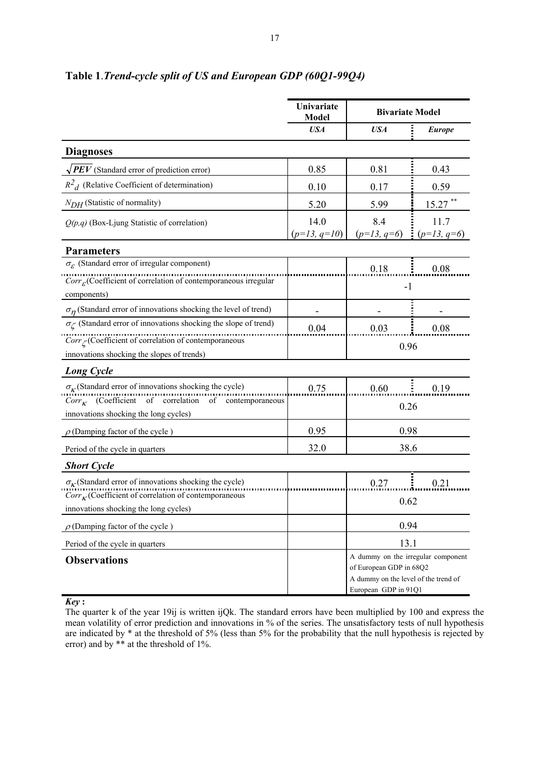|                                                                                                                                        | Univariate<br>Model    | <b>Bivariate Model</b>                                                                                                        |                         |  |
|----------------------------------------------------------------------------------------------------------------------------------------|------------------------|-------------------------------------------------------------------------------------------------------------------------------|-------------------------|--|
|                                                                                                                                        | <b>USA</b>             | <b>USA</b>                                                                                                                    | <b>Europe</b>           |  |
| <b>Diagnoses</b>                                                                                                                       |                        |                                                                                                                               |                         |  |
| $\sqrt{PEV}$ (Standard error of prediction error)                                                                                      | 0.85                   | 0.81                                                                                                                          | 0.43                    |  |
| $R^2$ <sub>d</sub> (Relative Coefficient of determination)                                                                             | 0.10                   | 0.17                                                                                                                          | 0.59                    |  |
| $N_{DH}$ (Statistic of normality)                                                                                                      | 5.20                   | 5.99                                                                                                                          | $15.27$ **              |  |
| $Q(p,q)$ (Box-Ljung Statistic of correlation)                                                                                          | 14.0<br>$(p=13, q=10)$ | 8.4<br>$(p=13, q=6)$                                                                                                          | 11.7<br>$= (p=13, q=6)$ |  |
| <b>Parameters</b>                                                                                                                      |                        |                                                                                                                               |                         |  |
| $\sigma_{\varepsilon}$ (Standard error of irregular component)                                                                         |                        | 0.18                                                                                                                          | 0.08                    |  |
| $Corr_{\mathcal{E}}$ (Coefficient of correlation of contemporaneous irregular                                                          |                        | $-1$                                                                                                                          |                         |  |
| components)                                                                                                                            |                        |                                                                                                                               |                         |  |
| $\sigma_n$ (Standard error of innovations shocking the level of trend)                                                                 |                        |                                                                                                                               |                         |  |
| $\sigma_{\!\mathcal L}$ (Standard error of innovations shocking the slope of trend)                                                    | 0.04                   | 0.03                                                                                                                          | 0.08                    |  |
| $Corr_{\zeta}$ (Coefficient of correlation of contemporaneous                                                                          |                        | 0.96                                                                                                                          |                         |  |
| innovations shocking the slopes of trends)                                                                                             |                        |                                                                                                                               |                         |  |
| <b>Long Cycle</b>                                                                                                                      |                        |                                                                                                                               |                         |  |
| $\sigma_{\kappa}$ (Standard error of innovations shocking the cycle)<br>$Corr_{\kappa}$ (Coefficient of correlation of contemporaneous | 0.75                   | 0.60                                                                                                                          | 0.19                    |  |
| innovations shocking the long cycles)                                                                                                  |                        | 0.26                                                                                                                          |                         |  |
| $\rho$ (Damping factor of the cycle)                                                                                                   | 0.95                   | 0.98                                                                                                                          |                         |  |
|                                                                                                                                        |                        |                                                                                                                               |                         |  |
| Period of the cycle in quarters                                                                                                        | 32.0                   | 38.6                                                                                                                          |                         |  |
| <b>Short Cycle</b>                                                                                                                     |                        |                                                                                                                               |                         |  |
| $\sigma_{\kappa}$ (Standard error of innovations shocking the cycle)<br>$Corr_{\kappa}$ (Coefficient of correlation of contemporaneous |                        | 0.27                                                                                                                          | ŧ<br>0.21               |  |
| innovations shocking the long cycles)                                                                                                  |                        | 0.62                                                                                                                          |                         |  |
| $\rho$ (Damping factor of the cycle)                                                                                                   |                        | 0.94                                                                                                                          |                         |  |
| Period of the cycle in quarters                                                                                                        |                        | 13.1                                                                                                                          |                         |  |
| <b>Observations</b>                                                                                                                    |                        | A dummy on the irregular component<br>of European GDP in 68Q2<br>A dummy on the level of the trend of<br>European GDP in 91Q1 |                         |  |

# **Table 1**.*Trend-cycle split of US and European GDP (60Q1-99Q4)*

*Key* **:** 

The quarter k of the year 19ij is written ijQk. The standard errors have been multiplied by 100 and express the mean volatility of error prediction and innovations in % of the series. The unsatisfactory tests of null hypothesis are indicated by \* at the threshold of 5% (less than 5% for the probability that the null hypothesis is rejected by error) and by \*\* at the threshold of 1%.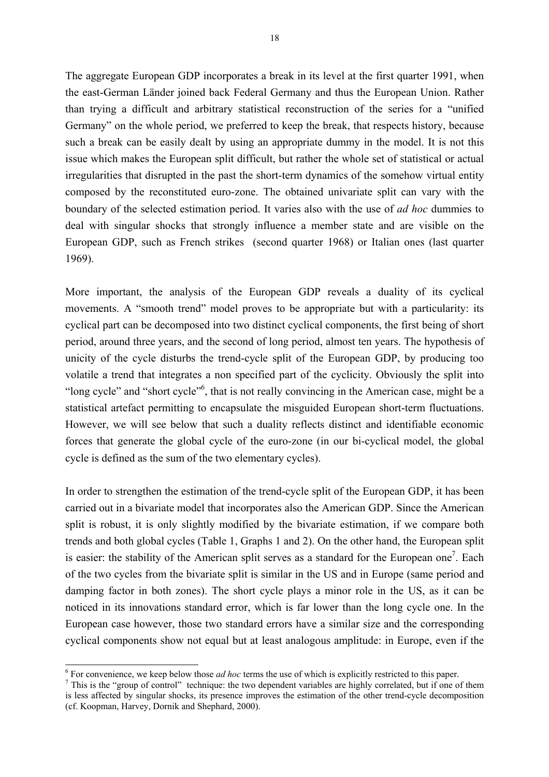The aggregate European GDP incorporates a break in its level at the first quarter 1991, when the east-German Länder joined back Federal Germany and thus the European Union. Rather than trying a difficult and arbitrary statistical reconstruction of the series for a "unified Germany" on the whole period, we preferred to keep the break, that respects history, because such a break can be easily dealt by using an appropriate dummy in the model. It is not this issue which makes the European split difficult, but rather the whole set of statistical or actual irregularities that disrupted in the past the short-term dynamics of the somehow virtual entity composed by the reconstituted euro-zone. The obtained univariate split can vary with the boundary of the selected estimation period. It varies also with the use of *ad hoc* dummies to deal with singular shocks that strongly influence a member state and are visible on the European GDP, such as French strikes (second quarter 1968) or Italian ones (last quarter 1969).

More important, the analysis of the European GDP reveals a duality of its cyclical movements. A "smooth trend" model proves to be appropriate but with a particularity: its cyclical part can be decomposed into two distinct cyclical components, the first being of short period, around three years, and the second of long period, almost ten years. The hypothesis of unicity of the cycle disturbs the trend-cycle split of the European GDP, by producing too volatile a trend that integrates a non specified part of the cyclicity. Obviously the split into "long cycle" and "short cycle"<sup>6</sup>, that is not really convincing in the American case, might be a statistical artefact permitting to encapsulate the misguided European short-term fluctuations. However, we will see below that such a duality reflects distinct and identifiable economic forces that generate the global cycle of the euro-zone (in our bi-cyclical model, the global cycle is defined as the sum of the two elementary cycles).

In order to strengthen the estimation of the trend-cycle split of the European GDP, it has been carried out in a bivariate model that incorporates also the American GDP. Since the American split is robust, it is only slightly modified by the bivariate estimation, if we compare both trends and both global cycles (Table 1, Graphs 1 and 2). On the other hand, the European split is easier: the stability of the American split serves as a standard for the European one<sup>[7](#page-18-1)</sup>. Each of the two cycles from the bivariate split is similar in the US and in Europe (same period and damping factor in both zones). The short cycle plays a minor role in the US, as it can be noticed in its innovations standard error, which is far lower than the long cycle one. In the European case however, those two standard errors have a similar size and the corresponding cyclical components show not equal but at least analogous amplitude: in Europe, even if the

-

<span id="page-18-0"></span> $\frac{6}{7}$  For convenience, we keep below those *ad hoc* terms the use of which is explicitly restricted to this paper.<br><sup>7</sup> This is the "group of control" technique: the two dependent variables are highly correlated, but i

<span id="page-18-1"></span>is less affected by singular shocks, its presence improves the estimation of the other trend-cycle decomposition (cf. Koopman, Harvey, Dornik and Shephard, 2000).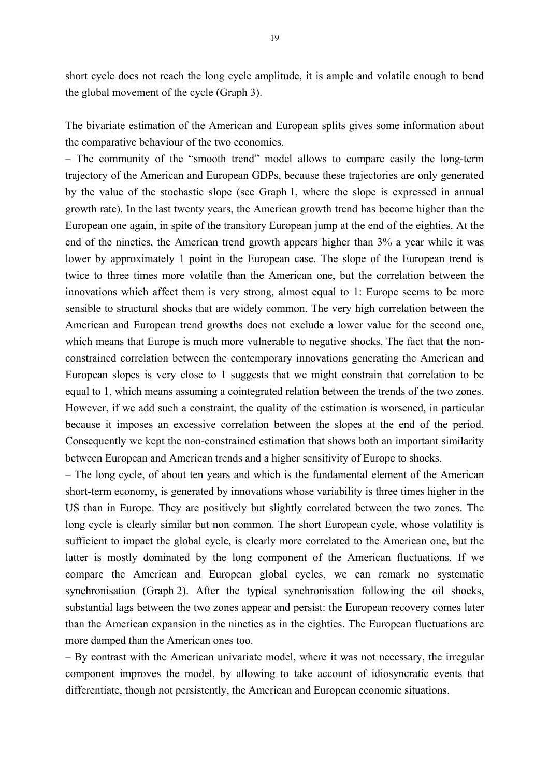short cycle does not reach the long cycle amplitude, it is ample and volatile enough to bend the global movement of the cycle (Graph 3).

The bivariate estimation of the American and European splits gives some information about the comparative behaviour of the two economies.

– The community of the "smooth trend" model allows to compare easily the long-term trajectory of the American and European GDPs, because these trajectories are only generated by the value of the stochastic slope (see Graph 1, where the slope is expressed in annual growth rate). In the last twenty years, the American growth trend has become higher than the European one again, in spite of the transitory European jump at the end of the eighties. At the end of the nineties, the American trend growth appears higher than 3% a year while it was lower by approximately 1 point in the European case. The slope of the European trend is twice to three times more volatile than the American one, but the correlation between the innovations which affect them is very strong, almost equal to 1: Europe seems to be more sensible to structural shocks that are widely common. The very high correlation between the American and European trend growths does not exclude a lower value for the second one, which means that Europe is much more vulnerable to negative shocks. The fact that the nonconstrained correlation between the contemporary innovations generating the American and European slopes is very close to 1 suggests that we might constrain that correlation to be equal to 1, which means assuming a cointegrated relation between the trends of the two zones. However, if we add such a constraint, the quality of the estimation is worsened, in particular because it imposes an excessive correlation between the slopes at the end of the period. Consequently we kept the non-constrained estimation that shows both an important similarity between European and American trends and a higher sensitivity of Europe to shocks.

– The long cycle, of about ten years and which is the fundamental element of the American short-term economy, is generated by innovations whose variability is three times higher in the US than in Europe. They are positively but slightly correlated between the two zones. The long cycle is clearly similar but non common. The short European cycle, whose volatility is sufficient to impact the global cycle, is clearly more correlated to the American one, but the latter is mostly dominated by the long component of the American fluctuations. If we compare the American and European global cycles, we can remark no systematic synchronisation (Graph 2). After the typical synchronisation following the oil shocks, substantial lags between the two zones appear and persist: the European recovery comes later than the American expansion in the nineties as in the eighties. The European fluctuations are more damped than the American ones too.

– By contrast with the American univariate model, where it was not necessary, the irregular component improves the model, by allowing to take account of idiosyncratic events that differentiate, though not persistently, the American and European economic situations.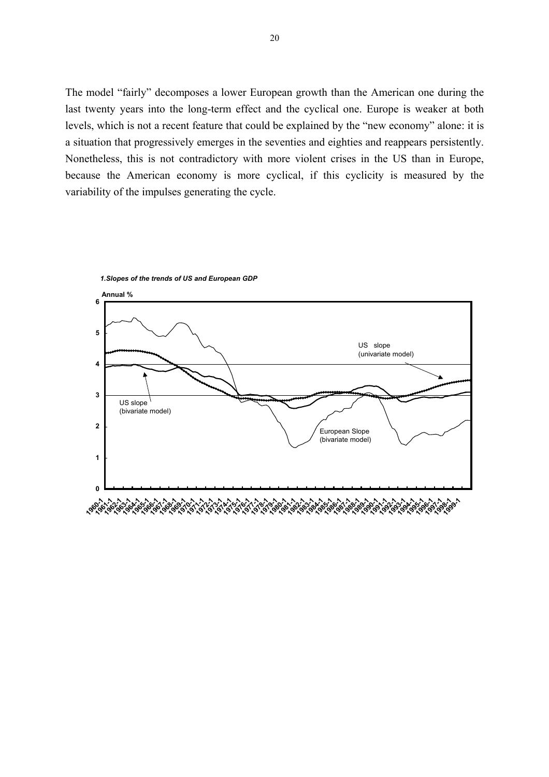The model "fairly" decomposes a lower European growth than the American one during the last twenty years into the long-term effect and the cyclical one. Europe is weaker at both levels, which is not a recent feature that could be explained by the "new economy" alone: it is a situation that progressively emerges in the seventies and eighties and reappears persistently. Nonetheless, this is not contradictory with more violent crises in the US than in Europe, because the American economy is more cyclical, if this cyclicity is measured by the variability of the impulses generating the cycle.



*1.Slopes of the trends of US and European GDP*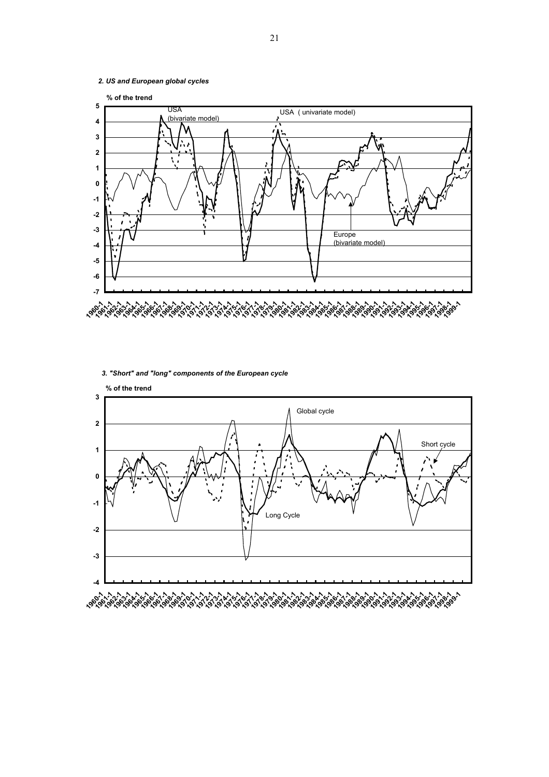

*3. "Short" and "long" components of the European cycle*



21

*2. US and European global cycles*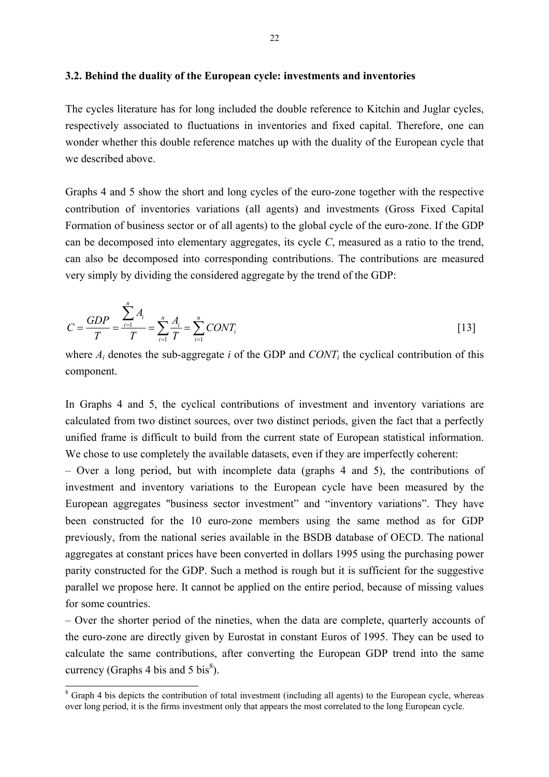### **3.2. Behind the duality of the European cycle: investments and inventories**

The cycles literature has for long included the double reference to Kitchin and Juglar cycles, respectively associated to fluctuations in inventories and fixed capital. Therefore, one can wonder whether this double reference matches up with the duality of the European cycle that we described above.

Graphs 4 and 5 show the short and long cycles of the euro-zone together with the respective contribution of inventories variations (all agents) and investments (Gross Fixed Capital Formation of business sector or of all agents) to the global cycle of the euro-zone. If the GDP can be decomposed into elementary aggregates, its cycle *C*, measured as a ratio to the trend, can also be decomposed into corresponding contributions. The contributions are measured very simply by dividing the considered aggregate by the trend of the GDP:

$$
C = \frac{GDP}{T} = \frac{\sum_{i=1}^{n} A_i}{T} = \sum_{i=1}^{n} \frac{A_i}{T} = \sum_{i=1}^{n} CONT_i
$$
\n[13]

where  $A_i$  denotes the sub-aggregate  $i$  of the GDP and  $CONT_i$  the cyclical contribution of this component.

In Graphs 4 and 5, the cyclical contributions of investment and inventory variations are calculated from two distinct sources, over two distinct periods, given the fact that a perfectly unified frame is difficult to build from the current state of European statistical information. We chose to use completely the available datasets, even if they are imperfectly coherent:

– Over a long period, but with incomplete data (graphs 4 and 5), the contributions of investment and inventory variations to the European cycle have been measured by the European aggregates "business sector investment" and "inventory variations". They have been constructed for the 10 euro-zone members using the same method as for GDP previously, from the national series available in the BSDB database of OECD. The national aggregates at constant prices have been converted in dollars 1995 using the purchasing power parity constructed for the GDP. Such a method is rough but it is sufficient for the suggestive parallel we propose here. It cannot be applied on the entire period, because of missing values for some countries.

– Over the shorter period of the nineties, when the data are complete, quarterly accounts of the euro-zone are directly given by Eurostat in constant Euros of 1995. They can be used to calculate the same contributions, after converting the European GDP trend into the same currency (Graphs 4 bis and 5 bis $\delta$ ).

-

<span id="page-22-0"></span><sup>&</sup>lt;sup>8</sup> Graph 4 bis depicts the contribution of total investment (including all agents) to the European cycle, whereas over long period, it is the firms investment only that appears the most correlated to the long European cycle.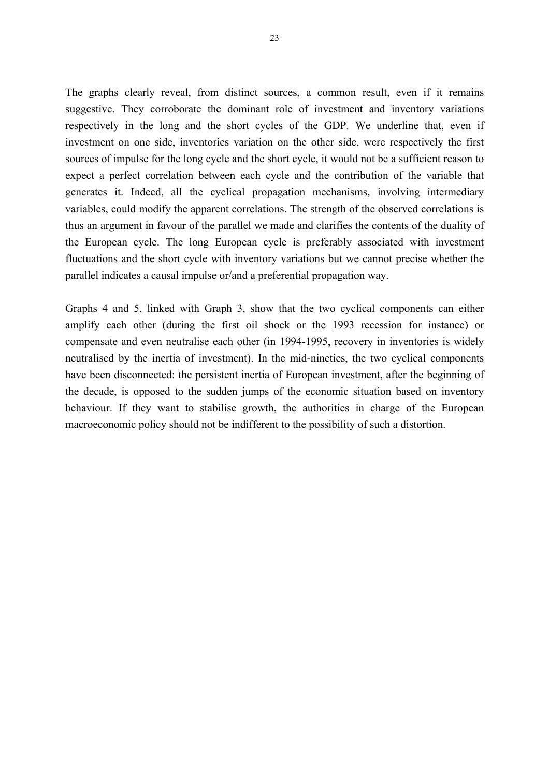The graphs clearly reveal, from distinct sources, a common result, even if it remains suggestive. They corroborate the dominant role of investment and inventory variations respectively in the long and the short cycles of the GDP. We underline that, even if investment on one side, inventories variation on the other side, were respectively the first sources of impulse for the long cycle and the short cycle, it would not be a sufficient reason to expect a perfect correlation between each cycle and the contribution of the variable that generates it. Indeed, all the cyclical propagation mechanisms, involving intermediary variables, could modify the apparent correlations. The strength of the observed correlations is thus an argument in favour of the parallel we made and clarifies the contents of the duality of the European cycle. The long European cycle is preferably associated with investment fluctuations and the short cycle with inventory variations but we cannot precise whether the parallel indicates a causal impulse or/and a preferential propagation way.

Graphs 4 and 5, linked with Graph 3, show that the two cyclical components can either amplify each other (during the first oil shock or the 1993 recession for instance) or compensate and even neutralise each other (in 1994-1995, recovery in inventories is widely neutralised by the inertia of investment). In the mid-nineties, the two cyclical components have been disconnected: the persistent inertia of European investment, after the beginning of the decade, is opposed to the sudden jumps of the economic situation based on inventory behaviour. If they want to stabilise growth, the authorities in charge of the European macroeconomic policy should not be indifferent to the possibility of such a distortion.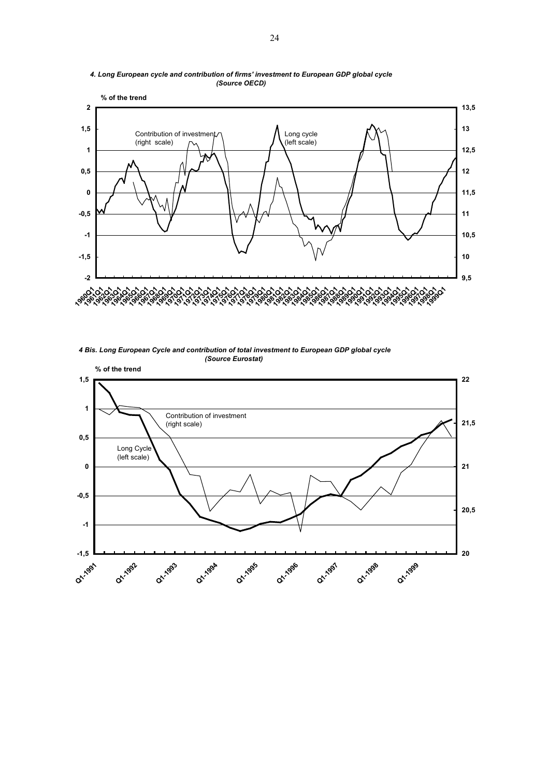

#### *4. Long European cycle and contribution of firms' investment to European GDP global cycle (Source OECD)*

 *4 Bis. Long European Cycle and contribution of total investment to European GDP global cycle (Source Eurostat)*

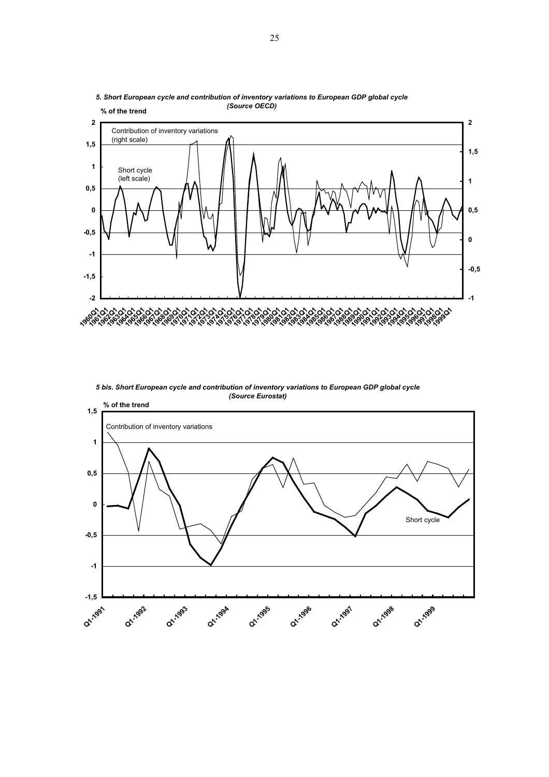

*5. Short European cycle and contribution of inventory variations to European GDP global cycle (Source OECD)*

*5 bis. Short European cycle and contribution of inventory variations to European GDP global cycle (Source Eurostat)*

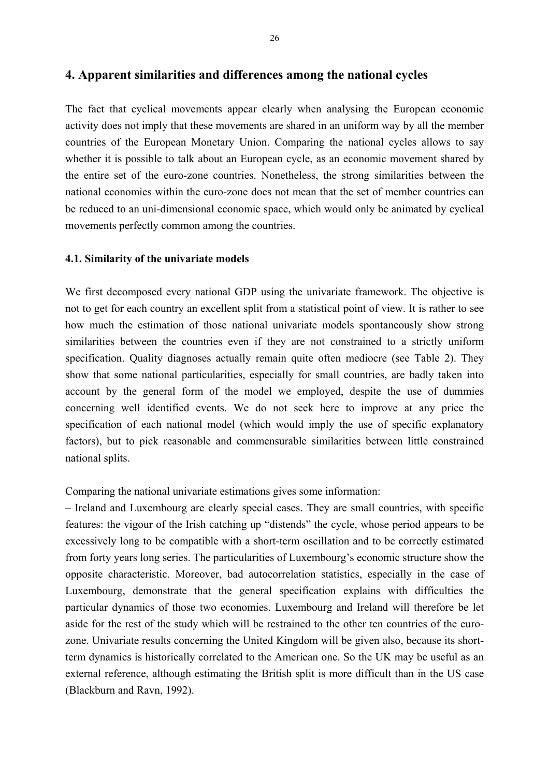# **4. Apparent similarities and differences among the national cycles**

The fact that cyclical movements appear clearly when analysing the European economic activity does not imply that these movements are shared in an uniform way by all the member countries of the European Monetary Union. Comparing the national cycles allows to say whether it is possible to talk about an European cycle, as an economic movement shared by the entire set of the euro-zone countries. Nonetheless, the strong similarities between the national economies within the euro-zone does not mean that the set of member countries can be reduced to an uni-dimensional economic space, which would only be animated by cyclical movements perfectly common among the countries.

#### **4.1. Similarity of the univariate models**

We first decomposed every national GDP using the univariate framework. The objective is not to get for each country an excellent split from a statistical point of view. It is rather to see how much the estimation of those national univariate models spontaneously show strong similarities between the countries even if they are not constrained to a strictly uniform specification. Quality diagnoses actually remain quite often mediocre (see Table 2). They show that some national particularities, especially for small countries, are badly taken into account by the general form of the model we employed, despite the use of dummies concerning well identified events. We do not seek here to improve at any price the specification of each national model (which would imply the use of specific explanatory factors), but to pick reasonable and commensurable similarities between little constrained national splits.

Comparing the national univariate estimations gives some information:

– Ireland and Luxembourg are clearly special cases. They are small countries, with specific features: the vigour of the Irish catching up "distends" the cycle, whose period appears to be excessively long to be compatible with a short-term oscillation and to be correctly estimated from forty years long series. The particularities of Luxembourg's economic structure show the opposite characteristic. Moreover, bad autocorrelation statistics, especially in the case of Luxembourg, demonstrate that the general specification explains with difficulties the particular dynamics of those two economies. Luxembourg and Ireland will therefore be let aside for the rest of the study which will be restrained to the other ten countries of the eurozone. Univariate results concerning the United Kingdom will be given also, because its shortterm dynamics is historically correlated to the American one. So the UK may be useful as an external reference, although estimating the British split is more difficult than in the US case (Blackburn and Ravn, 1992).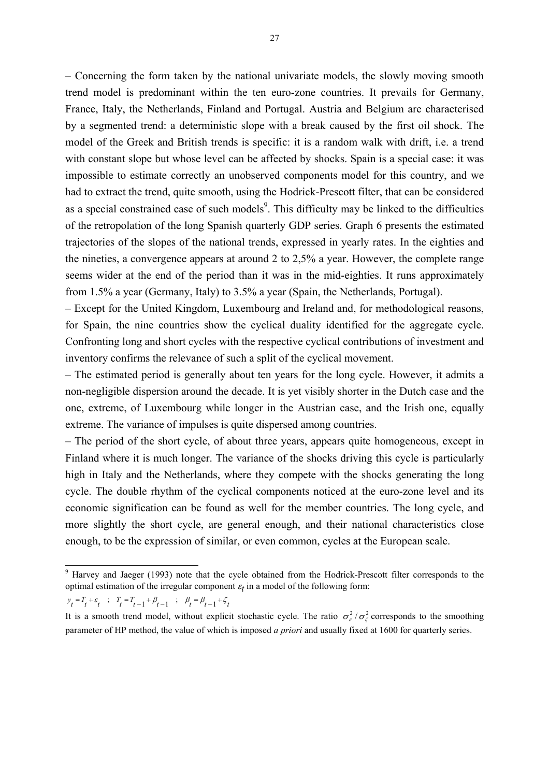– Concerning the form taken by the national univariate models, the slowly moving smooth trend model is predominant within the ten euro-zone countries. It prevails for Germany, France, Italy, the Netherlands, Finland and Portugal. Austria and Belgium are characterised by a segmented trend: a deterministic slope with a break caused by the first oil shock. The model of the Greek and British trends is specific: it is a random walk with drift, i.e. a trend with constant slope but whose level can be affected by shocks. Spain is a special case: it was impossible to estimate correctly an unobserved components model for this country, and we had to extract the trend, quite smooth, using the Hodrick-Prescott filter, that can be considered as a special constrained case of such models $\degree$ . This difficulty may be linked to the difficulties of the retropolation of the long Spanish quarterly GDP series. Graph 6 presents the estimated trajectories of the slopes of the national trends, expressed in yearly rates. In the eighties and the nineties, a convergence appears at around 2 to 2,5% a year. However, the complete range seems wider at the end of the period than it was in the mid-eighties. It runs approximately from 1.5% a year (Germany, Italy) to 3.5% a year (Spain, the Netherlands, Portugal).

– Except for the United Kingdom, Luxembourg and Ireland and, for methodological reasons, for Spain, the nine countries show the cyclical duality identified for the aggregate cycle. Confronting long and short cycles with the respective cyclical contributions of investment and inventory confirms the relevance of such a split of the cyclical movement.

– The estimated period is generally about ten years for the long cycle. However, it admits a non-negligible dispersion around the decade. It is yet visibly shorter in the Dutch case and the one, extreme, of Luxembourg while longer in the Austrian case, and the Irish one, equally extreme. The variance of impulses is quite dispersed among countries.

– The period of the short cycle, of about three years, appears quite homogeneous, except in Finland where it is much longer. The variance of the shocks driving this cycle is particularly high in Italy and the Netherlands, where they compete with the shocks generating the long cycle. The double rhythm of the cyclical components noticed at the euro-zone level and its economic signification can be found as well for the member countries. The long cycle, and more slightly the short cycle, are general enough, and their national characteristics close enough, to be the expression of similar, or even common, cycles at the European scale.

 $y_t = T_t + \varepsilon_t$  ;  $T_t = T_{t-1} + \beta_{t-1}$  ;  $\beta_t = \beta_{t-1} + \zeta_t$ 

-

<span id="page-27-0"></span><sup>9</sup> Harvey and Jaeger (1993) note that the cycle obtained from the Hodrick-Prescott filter corresponds to the optimal estimation of the irregular component  $\varepsilon_t$  in a model of the following form:

It is a smooth trend model, without explicit stochastic cycle. The ratio  $\sigma_{\varepsilon}^2/\sigma_{\varepsilon}^2$  corresponds to the smoothing parameter of HP method, the value of which is imposed *a priori* and usually fixed at 1600 for quarterly series.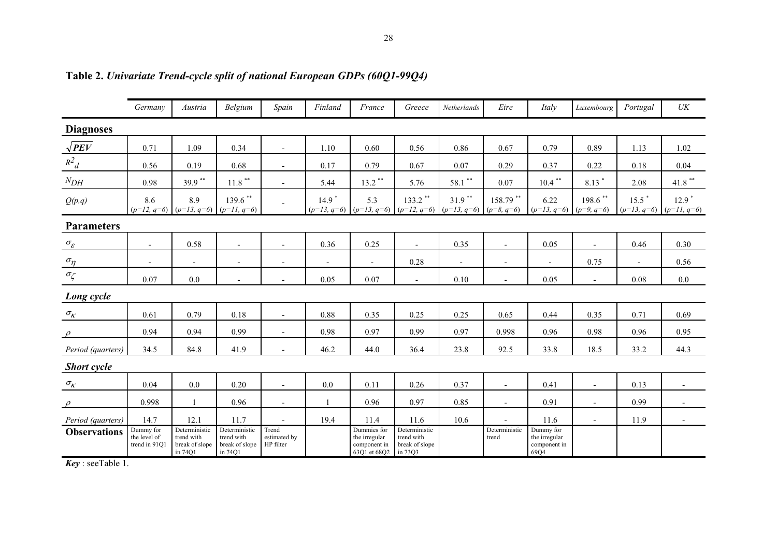|                                             | Germany                                    | Austria                                                  | Belgium                                                  | Spain                              | Finland        | France                                                       | Greece                                                   | Netherlands                                                                       | Eire                     | Italy                                                          | Luxembourg               | Portugal                                           | $\ensuremath{\textit{UK}}\xspace$ |
|---------------------------------------------|--------------------------------------------|----------------------------------------------------------|----------------------------------------------------------|------------------------------------|----------------|--------------------------------------------------------------|----------------------------------------------------------|-----------------------------------------------------------------------------------|--------------------------|----------------------------------------------------------------|--------------------------|----------------------------------------------------|-----------------------------------|
| <b>Diagnoses</b>                            |                                            |                                                          |                                                          |                                    |                |                                                              |                                                          |                                                                                   |                          |                                                                |                          |                                                    |                                   |
| $\sqrt{PEV}$                                | 0.71                                       | 1.09                                                     | 0.34                                                     | $\overline{\phantom{a}}$           | 1.10           | 0.60                                                         | 0.56                                                     | 0.86                                                                              | 0.67                     | 0.79                                                           | 0.89                     | 1.13                                               | 1.02                              |
| $R^2$ <sub>d</sub>                          | 0.56                                       | 0.19                                                     | 0.68                                                     |                                    | 0.17           | 0.79                                                         | 0.67                                                     | 0.07                                                                              | 0.29                     | 0.37                                                           | 0.22                     | 0.18                                               | 0.04                              |
| $N_{DH}$                                    | 0.98                                       | 39.9 **                                                  | $11.8$ $^{\ast\ast}$                                     | $\overline{\phantom{a}}$           | 5.44           | $13.2***$                                                    | 5.76                                                     | $58.1$ **                                                                         | 0.07                     | $10.4$ **                                                      | $8.13*$                  | 2.08                                               | $41.8$ $^{\ast\ast}$              |
| Q(p,q)                                      | 8.6                                        | 8.9<br>$(p=12, q=6)$ $(p=13, q=6)$ $(p=11, q=6)$         | $139.6$ **                                               |                                    | $14.9*$        | 5.3                                                          | $133.2$ **                                               | $31.9***$<br>$(p=13, q=6)$ $(p=13, q=6)$ $(p=12, q=6)$ $(p=13, q=6)$ $(p=8, q=6)$ | $158.79$ **              | 6.22<br>$(p=13, q=6)$ $(p=9, q=6)$                             | $198.6$ **               | $15.5$ <sup>*</sup><br>$(p=13, q=6)$ $(p=11, q=6)$ | $12.9$ <sup>*</sup>               |
| <b>Parameters</b>                           |                                            |                                                          |                                                          |                                    |                |                                                              |                                                          |                                                                                   |                          |                                                                |                          |                                                    |                                   |
| $\sigma_{\!\scriptscriptstyle \mathcal{E}}$ | $\overline{\phantom{a}}$                   | 0.58                                                     | $\overline{\phantom{a}}$                                 | $\blacksquare$                     | 0.36           | 0.25                                                         | $\overline{\phantom{a}}$                                 | 0.35                                                                              | $\overline{\phantom{a}}$ | 0.05                                                           | $\overline{\phantom{a}}$ | 0.46                                               | 0.30                              |
| $\sigma_{\eta}$                             |                                            |                                                          |                                                          | $\overline{\phantom{a}}$           |                | $\overline{\phantom{a}}$                                     | 0.28                                                     | $\overline{\phantom{a}}$                                                          | $\overline{\phantom{a}}$ |                                                                | 0.75                     |                                                    | 0.56                              |
| $\sigma_{\!\zeta}$                          | 0.07                                       | $0.0\,$                                                  |                                                          |                                    | 0.05           | $0.07\,$                                                     |                                                          | $0.10\,$                                                                          |                          | 0.05                                                           | $\overline{\phantom{a}}$ | 0.08                                               | $0.0\,$                           |
| Long cycle                                  |                                            |                                                          |                                                          |                                    |                |                                                              |                                                          |                                                                                   |                          |                                                                |                          |                                                    |                                   |
| $\sigma_{\!K}^{}$                           | 0.61                                       | 0.79                                                     | 0.18                                                     |                                    | 0.88           | 0.35                                                         | 0.25                                                     | 0.25                                                                              | 0.65                     | 0.44                                                           | 0.35                     | 0.71                                               | 0.69                              |
| $\rho$                                      | 0.94                                       | 0.94                                                     | 0.99                                                     | $\overline{\phantom{a}}$           | 0.98           | 0.97                                                         | 0.99                                                     | 0.97                                                                              | 0.998                    | 0.96                                                           | 0.98                     | 0.96                                               | 0.95                              |
| Period (quarters)                           | 34.5                                       | 84.8                                                     | 41.9                                                     | $\blacksquare$                     | 46.2           | 44.0                                                         | 36.4                                                     | 23.8                                                                              | 92.5                     | 33.8                                                           | 18.5                     | 33.2                                               | 44.3                              |
| <b>Short</b> cycle                          |                                            |                                                          |                                                          |                                    |                |                                                              |                                                          |                                                                                   |                          |                                                                |                          |                                                    |                                   |
| $\sigma_{\!K}^{}$                           | 0.04                                       | $0.0\,$                                                  | 0.20                                                     |                                    | 0.0            | 0.11                                                         | 0.26                                                     | 0.37                                                                              | $\overline{\phantom{a}}$ | 0.41                                                           | $\overline{a}$           | 0.13                                               |                                   |
|                                             | 0.998                                      | $\mathbf{1}$                                             | 0.96                                                     | $\overline{\phantom{a}}$           | $\overline{1}$ | 0.96                                                         | 0.97                                                     | 0.85                                                                              | $\overline{\phantom{a}}$ | 0.91                                                           | $\overline{\phantom{a}}$ | 0.99                                               | $\overline{\phantom{a}}$          |
| Period (quarters)                           | 14.7                                       | 12.1                                                     | 11.7                                                     |                                    | 19.4           | 11.4                                                         | 11.6                                                     | 10.6                                                                              |                          | 11.6                                                           | $\overline{\phantom{a}}$ | 11.9                                               |                                   |
| <b>Observations</b>                         | Dummy for<br>the level of<br>trend in 91Q1 | Deterministic<br>trend with<br>break of slope<br>in 74Q1 | Deterministic<br>trend with<br>break of slope<br>in 74Q1 | Trend<br>estimated by<br>HP filter |                | Dummies for<br>the irregular<br>component in<br>63Q1 et 68Q2 | Deterministic<br>trend with<br>break of slope<br>in 73Q3 |                                                                                   | Deterministic<br>trend   | Dummy for<br>the irregular<br>component in<br>69Q <sub>4</sub> |                          |                                                    |                                   |

### **Table 2.** *Univariate Trend-cycle split of national European GDPs (60Q1-99Q4)*

*Key* : seeTable 1.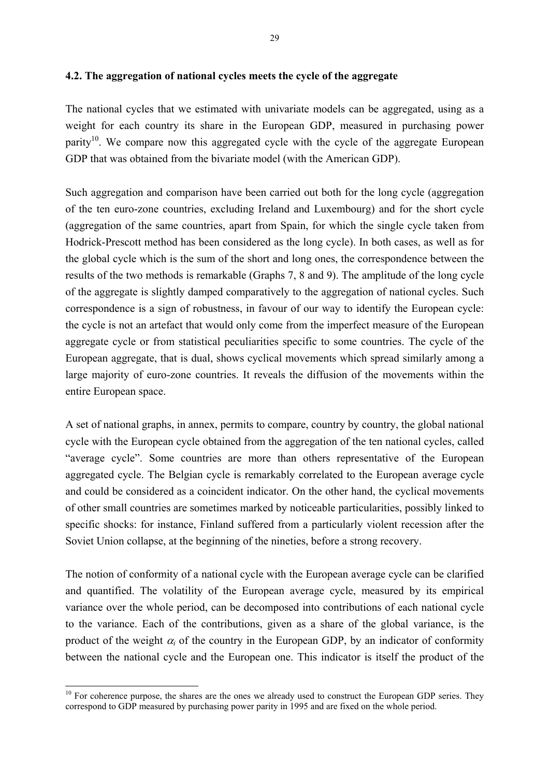### **4.2. The aggregation of national cycles meets the cycle of the aggregate**

The national cycles that we estimated with univariate models can be aggregated, using as a weight for each country its share in the European GDP, measured in purchasing power parity<sup>10</sup>. We compare now this aggregated cycle with the cycle of the aggregate European GDP that was obtained from the bivariate model (with the American GDP).

Such aggregation and comparison have been carried out both for the long cycle (aggregation of the ten euro-zone countries, excluding Ireland and Luxembourg) and for the short cycle (aggregation of the same countries, apart from Spain, for which the single cycle taken from Hodrick-Prescott method has been considered as the long cycle). In both cases, as well as for the global cycle which is the sum of the short and long ones, the correspondence between the results of the two methods is remarkable (Graphs 7, 8 and 9). The amplitude of the long cycle of the aggregate is slightly damped comparatively to the aggregation of national cycles. Such correspondence is a sign of robustness, in favour of our way to identify the European cycle: the cycle is not an artefact that would only come from the imperfect measure of the European aggregate cycle or from statistical peculiarities specific to some countries. The cycle of the European aggregate, that is dual, shows cyclical movements which spread similarly among a large majority of euro-zone countries. It reveals the diffusion of the movements within the entire European space.

A set of national graphs, in annex, permits to compare, country by country, the global national cycle with the European cycle obtained from the aggregation of the ten national cycles, called "average cycle". Some countries are more than others representative of the European aggregated cycle. The Belgian cycle is remarkably correlated to the European average cycle and could be considered as a coincident indicator. On the other hand, the cyclical movements of other small countries are sometimes marked by noticeable particularities, possibly linked to specific shocks: for instance, Finland suffered from a particularly violent recession after the Soviet Union collapse, at the beginning of the nineties, before a strong recovery.

The notion of conformity of a national cycle with the European average cycle can be clarified and quantified. The volatility of the European average cycle, measured by its empirical variance over the whole period, can be decomposed into contributions of each national cycle to the variance. Each of the contributions, given as a share of the global variance, is the product of the weight  $\alpha_i$  of the country in the European GDP, by an indicator of conformity between the national cycle and the European one. This indicator is itself the product of the

 $\overline{\phantom{a}}$ 

<span id="page-29-0"></span><sup>&</sup>lt;sup>10</sup> For coherence purpose, the shares are the ones we already used to construct the European GDP series. They correspond to GDP measured by purchasing power parity in 1995 and are fixed on the whole period.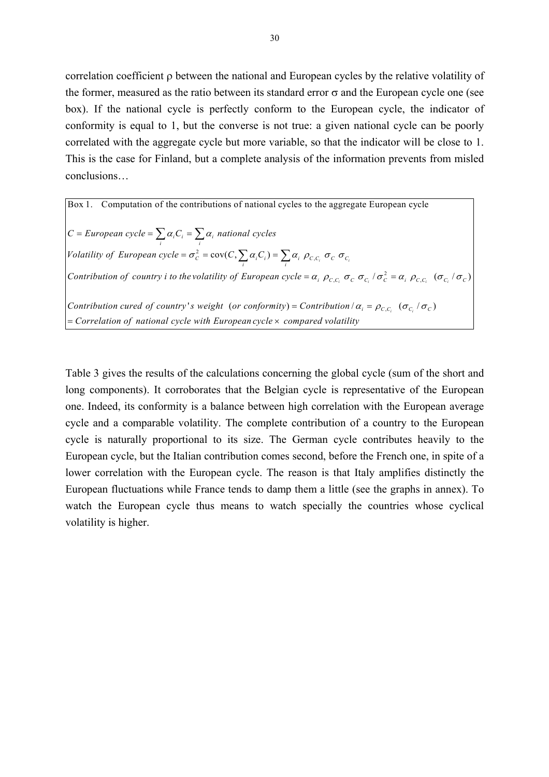correlation coefficient ρ between the national and European cycles by the relative volatility of the former, measured as the ratio between its standard error  $\sigma$  and the European cycle one (see box). If the national cycle is perfectly conform to the European cycle, the indicator of conformity is equal to 1, but the converse is not true: a given national cycle can be poorly correlated with the aggregate cycle but more variable, so that the indicator will be close to 1. This is the case for Finland, but a complete analysis of the information prevents from misled conclusions…

 $\sum_{i}^{2} \sigma_{i} \cos(C_{i}) = \sum_{i} \alpha_{i} \rho_{C,C_{i}} \sigma_{C} \sigma_{C_{i}}$ Box 1. Computation of the contributions of national cycles to the aggregate European cycle  $\sum_i \alpha_i \overline{C}_i - \sum_i \alpha_i$  $C = European cycle = \sum \alpha_i C_i = \sum \alpha_i$  national cycles *Volatility of European cycle* =  $\sigma_c^2$  = cov(*C*,  $\sum \alpha_i C_i$ ) =  $\sum \alpha_i \rho_{C_i C_i} \sigma_C \sigma_C$ *Contribution of country i to the volatility of European cycle* =  $\alpha_i$ ,  $\rho_{c,c_i}$ ,  $\sigma_c$ ,  $\sigma_{c_i}$ ,  $\sigma_{c_i}$ ,  $\rho_{c,c_i}$ ,  $(\sigma_{c_i}/\sigma_c)$ Contribution cured of country's weight (or conformity) = Contribution  $\alpha_i = \rho_{C,C_i}$  ( $\sigma_{C_i}/\sigma_C$ ) = Correlation of national cycle with European cycle × compared volatility

Table 3 gives the results of the calculations concerning the global cycle (sum of the short and long components). It corroborates that the Belgian cycle is representative of the European one. Indeed, its conformity is a balance between high correlation with the European average cycle and a comparable volatility. The complete contribution of a country to the European cycle is naturally proportional to its size. The German cycle contributes heavily to the European cycle, but the Italian contribution comes second, before the French one, in spite of a lower correlation with the European cycle. The reason is that Italy amplifies distinctly the European fluctuations while France tends to damp them a little (see the graphs in annex). To watch the European cycle thus means to watch specially the countries whose cyclical volatility is higher.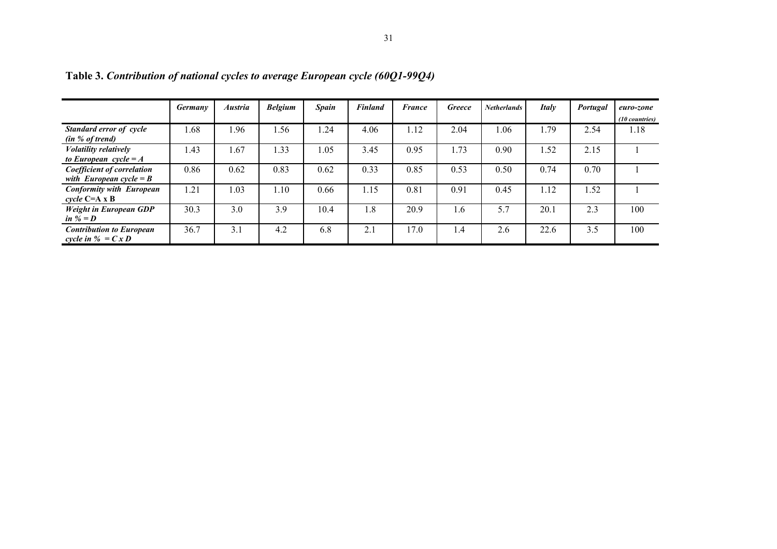|                                                                        | <b>Germany</b> | <b>Austria</b> | <b>Belgium</b> | <b>Spain</b> | <b>Finland</b> | <b>France</b> | <b>Greece</b> | <b>Netherlands</b> | <b>Italy</b> | Portugal | euro-zone<br>(10 countries) |
|------------------------------------------------------------------------|----------------|----------------|----------------|--------------|----------------|---------------|---------------|--------------------|--------------|----------|-----------------------------|
| Standard error of cycle<br>(in % of trend)                             | .68            | 1.96           | .56            | .24          | 4.06           | 1.12          | 2.04          | .06                | . 79         | 2.54     | 1.18                        |
| <b>Volatility relatively</b><br>to European cycle = $A$                | .43            | 1.67           | .33            | 1.05         | 3.45           | 0.95          | 1.73          | 0.90               | 1.52         | 2.15     |                             |
| <b>Coefficient of correlation</b><br>with European cycle = $B$         | 0.86           | 0.62           | 0.83           | 0.62         | 0.33           | 0.85          | 0.53          | 0.50               | 0.74         | 0.70     |                             |
| <b>Conformity with European</b><br>cycle $C=A \times B$                | .21            | 1.03           | 1.10           | 0.66         | 1.15           | 0.81          | 0.91          | 0.45               | l.12         | 1.52     |                             |
| <b>Weight in European GDP</b><br>in $\mathscr{U} = D$                  | 30.3           | 3.0            | 3.9            | 10.4         | 1.8            | 20.9          | <u>1.6</u>    | 5.7                | 20.1         | 2.3      | 100                         |
| <b>Contribution to European</b><br>cycle in $\mathscr{C} = C \times D$ | 36.7           | 3.1            | 4.2            | 6.8          | 2.1            | 17.0          | 1.4           | 2.6                | 22.6         | 3.5      | 100                         |

**Table 3.** *Contribution of national cycles to average European cycle (60Q1-99Q4)*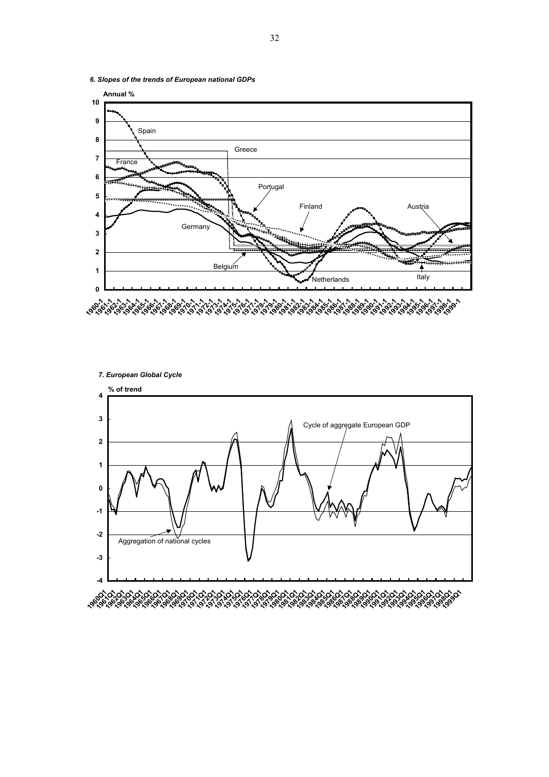

*6. Slopes of the trends of European national GDPs*

*7. European Global Cycle*

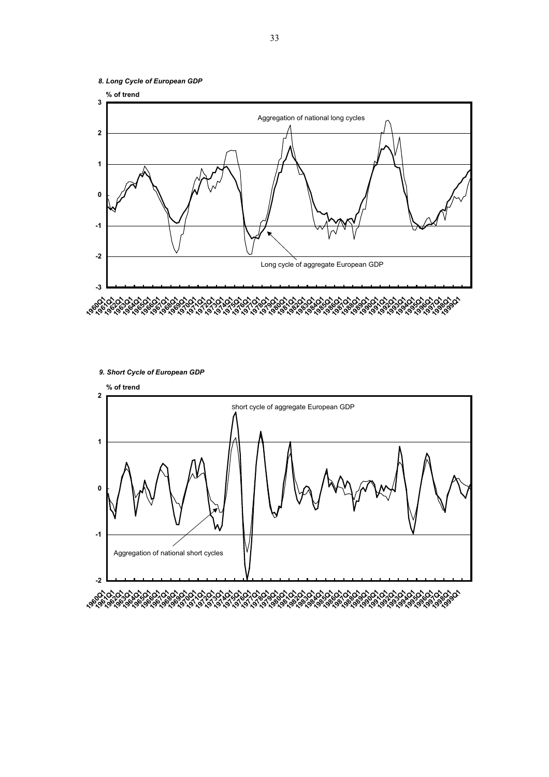



*9. Short Cycle of European GDP* 

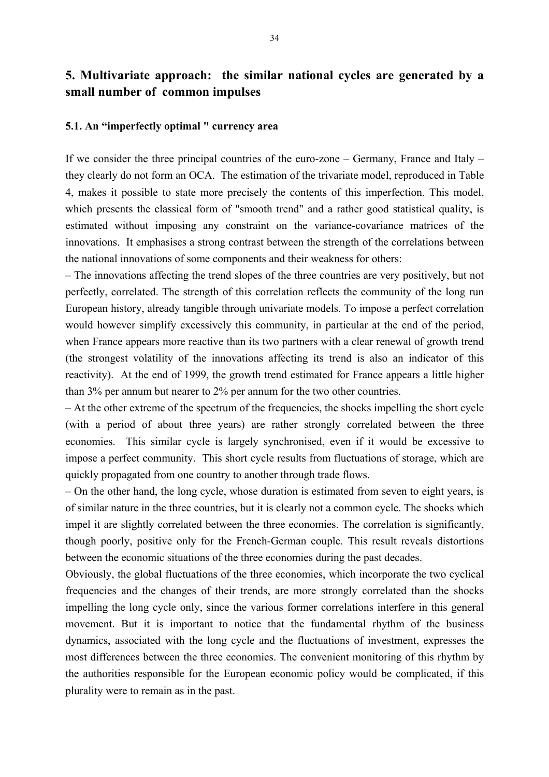# **5. Multivariate approach: the similar national cycles are generated by a small number of common impulses**

### **5.1. An "imperfectly optimal " currency area**

If we consider the three principal countries of the euro-zone – Germany, France and Italy – they clearly do not form an OCA. The estimation of the trivariate model, reproduced in Table 4, makes it possible to state more precisely the contents of this imperfection. This model, which presents the classical form of "smooth trend" and a rather good statistical quality, is estimated without imposing any constraint on the variance-covariance matrices of the innovations. It emphasises a strong contrast between the strength of the correlations between the national innovations of some components and their weakness for others:

– The innovations affecting the trend slopes of the three countries are very positively, but not perfectly, correlated. The strength of this correlation reflects the community of the long run European history, already tangible through univariate models. To impose a perfect correlation would however simplify excessively this community, in particular at the end of the period, when France appears more reactive than its two partners with a clear renewal of growth trend (the strongest volatility of the innovations affecting its trend is also an indicator of this reactivity). At the end of 1999, the growth trend estimated for France appears a little higher than 3% per annum but nearer to 2% per annum for the two other countries.

– At the other extreme of the spectrum of the frequencies, the shocks impelling the short cycle (with a period of about three years) are rather strongly correlated between the three economies. This similar cycle is largely synchronised, even if it would be excessive to impose a perfect community. This short cycle results from fluctuations of storage, which are quickly propagated from one country to another through trade flows.

– On the other hand, the long cycle, whose duration is estimated from seven to eight years, is of similar nature in the three countries, but it is clearly not a common cycle. The shocks which impel it are slightly correlated between the three economies. The correlation is significantly, though poorly, positive only for the French-German couple. This result reveals distortions between the economic situations of the three economies during the past decades.

Obviously, the global fluctuations of the three economies, which incorporate the two cyclical frequencies and the changes of their trends, are more strongly correlated than the shocks impelling the long cycle only, since the various former correlations interfere in this general movement. But it is important to notice that the fundamental rhythm of the business dynamics, associated with the long cycle and the fluctuations of investment, expresses the most differences between the three economies. The convenient monitoring of this rhythm by the authorities responsible for the European economic policy would be complicated, if this plurality were to remain as in the past.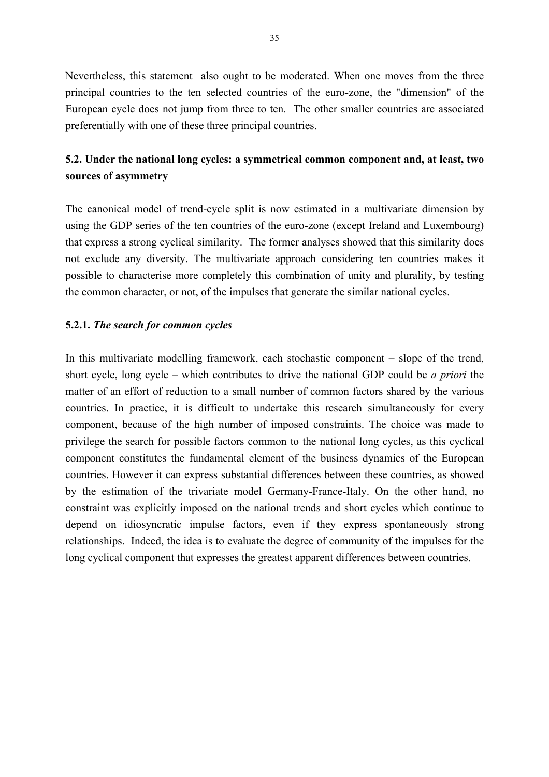Nevertheless, this statement also ought to be moderated. When one moves from the three principal countries to the ten selected countries of the euro-zone, the "dimension" of the European cycle does not jump from three to ten. The other smaller countries are associated preferentially with one of these three principal countries.

# **5.2. Under the national long cycles: a symmetrical common component and, at least, two sources of asymmetry**

The canonical model of trend-cycle split is now estimated in a multivariate dimension by using the GDP series of the ten countries of the euro-zone (except Ireland and Luxembourg) that express a strong cyclical similarity. The former analyses showed that this similarity does not exclude any diversity. The multivariate approach considering ten countries makes it possible to characterise more completely this combination of unity and plurality, by testing the common character, or not, of the impulses that generate the similar national cycles.

### **5.2.1.** *The search for common cycles*

In this multivariate modelling framework, each stochastic component – slope of the trend, short cycle, long cycle – which contributes to drive the national GDP could be *a priori* the matter of an effort of reduction to a small number of common factors shared by the various countries. In practice, it is difficult to undertake this research simultaneously for every component, because of the high number of imposed constraints. The choice was made to privilege the search for possible factors common to the national long cycles, as this cyclical component constitutes the fundamental element of the business dynamics of the European countries. However it can express substantial differences between these countries, as showed by the estimation of the trivariate model Germany-France-Italy. On the other hand, no constraint was explicitly imposed on the national trends and short cycles which continue to depend on idiosyncratic impulse factors, even if they express spontaneously strong relationships. Indeed, the idea is to evaluate the degree of community of the impulses for the long cyclical component that expresses the greatest apparent differences between countries.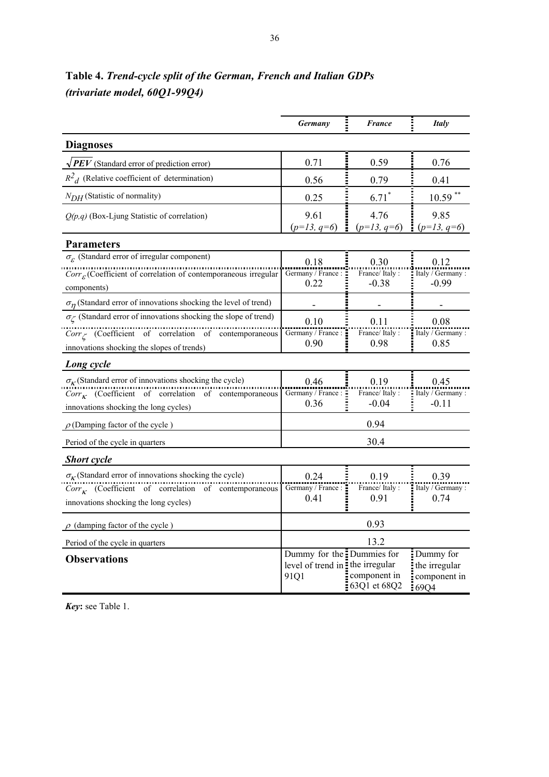|                                                                                                         | <b>Germany</b>                                                       | <b>France</b>                | <b>Italy</b>                                       |
|---------------------------------------------------------------------------------------------------------|----------------------------------------------------------------------|------------------------------|----------------------------------------------------|
| <b>Diagnoses</b>                                                                                        |                                                                      |                              |                                                    |
| $\sqrt{PEV}$ (Standard error of prediction error)                                                       | 0.71                                                                 | 0.59                         | 0.76                                               |
| $R^2$ <sub>d</sub> (Relative coefficient of determination)                                              | 0.56                                                                 | 0.79                         | 0.41                                               |
| $N_{DH}$ (Statistic of normality)                                                                       | 0.25                                                                 | $6.71*$                      | $10.59$ **                                         |
| $Q(p,q)$ (Box-Ljung Statistic of correlation)                                                           | 9.61<br>$(p=13, q=6)$                                                | 4.76<br>$(p=13, q=6)$        | 9.85<br>$(p=13, q=6)$                              |
| <b>Parameters</b>                                                                                       |                                                                      |                              |                                                    |
| $\sigma_{\mathcal{E}}$ (Standard error of irregular component)                                          | 0.18                                                                 | 0.30                         | 0.12                                               |
| $Corr\mathcal{E}(Coefficient of correlation of contemporaneous irregular$<br>components)                | Germany / France:<br>0.22                                            | France/ Italy :<br>$-0.38$   | Italy / Germany :<br>$-0.99$                       |
| $\sigma_{\eta}$ (Standard error of innovations shocking the level of trend)                             |                                                                      |                              |                                                    |
| $\sigma_{\zeta}$ (Standard error of innovations shocking the slope of trend)                            | 0.10                                                                 | 0.11                         | 0.08                                               |
| $Corr$ (Coefficient of correlation of contemporaneous<br>innovations shocking the slopes of trends)     | Germany / France:<br>0.90                                            | France/Italy:<br>0.98        | Italy / Germany:<br>0.85                           |
| Long cycle                                                                                              |                                                                      |                              |                                                    |
| $\sigma_K$ (Standard error of innovations shocking the cycle)                                           | 0.46                                                                 | 0.19                         | 0.45                                               |
| $Corr_{\kappa}$ (Coefficient of correlation of contemporaneous<br>innovations shocking the long cycles) | Germany / France :<br>0.36                                           | France/Italy:<br>$-0.04$     | Italy / Germany :<br>$-0.11$                       |
| $\rho$ (Damping factor of the cycle)                                                                    |                                                                      | 0.94                         |                                                    |
| Period of the cycle in quarters                                                                         |                                                                      | 30.4                         |                                                    |
| <b>Short</b> cycle                                                                                      |                                                                      |                              |                                                    |
| $\sigma_K$ (Standard error of innovations shocking the cycle)                                           | 0.24                                                                 | 0.19                         | 0.39                                               |
| $Corr_{\kappa}$ (Coefficient of correlation of contemporaneous<br>innovations shocking the long cycles) | Germany / France:<br>0.41                                            | France/Italy:<br>0.91        | Italy / Germany:<br>0.74                           |
| $\rho$ (damping factor of the cycle)                                                                    |                                                                      | 0.93                         |                                                    |
| Period of the cycle in quarters                                                                         |                                                                      | 13.2                         |                                                    |
| <b>Observations</b>                                                                                     | Dummy for the Dummies for<br>level of trend in the irregular<br>91Q1 | component in<br>63Q1 et 68Q2 | Dummy for<br>the irregular<br>component in<br>69Q4 |

**Table 4.** *Trend-cycle split of the German, French and Italian GDPs (trivariate model, 60Q1-99Q4)*

*Key***:** see Table 1.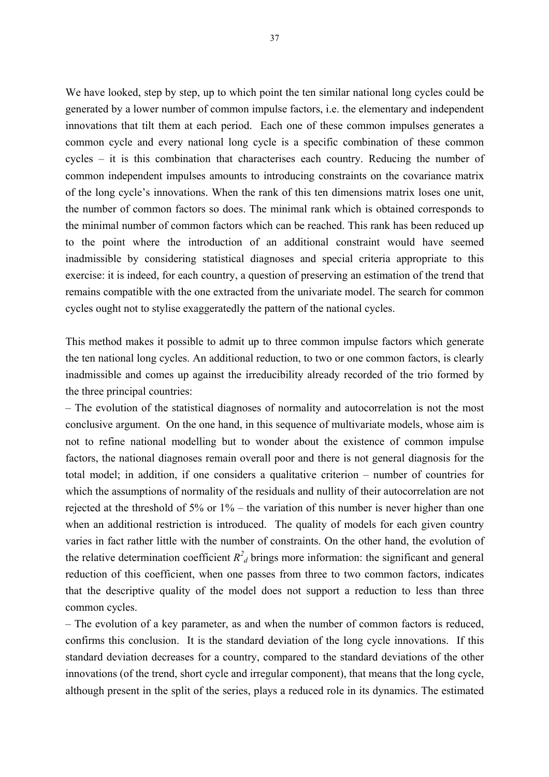We have looked, step by step, up to which point the ten similar national long cycles could be generated by a lower number of common impulse factors, i.e. the elementary and independent innovations that tilt them at each period. Each one of these common impulses generates a common cycle and every national long cycle is a specific combination of these common cycles – it is this combination that characterises each country. Reducing the number of common independent impulses amounts to introducing constraints on the covariance matrix of the long cycle's innovations. When the rank of this ten dimensions matrix loses one unit, the number of common factors so does. The minimal rank which is obtained corresponds to the minimal number of common factors which can be reached. This rank has been reduced up to the point where the introduction of an additional constraint would have seemed inadmissible by considering statistical diagnoses and special criteria appropriate to this exercise: it is indeed, for each country, a question of preserving an estimation of the trend that remains compatible with the one extracted from the univariate model. The search for common cycles ought not to stylise exaggeratedly the pattern of the national cycles.

This method makes it possible to admit up to three common impulse factors which generate the ten national long cycles. An additional reduction, to two or one common factors, is clearly inadmissible and comes up against the irreducibility already recorded of the trio formed by the three principal countries:

– The evolution of the statistical diagnoses of normality and autocorrelation is not the most conclusive argument. On the one hand, in this sequence of multivariate models, whose aim is not to refine national modelling but to wonder about the existence of common impulse factors, the national diagnoses remain overall poor and there is not general diagnosis for the total model; in addition, if one considers a qualitative criterion – number of countries for which the assumptions of normality of the residuals and nullity of their autocorrelation are not rejected at the threshold of 5% or 1% – the variation of this number is never higher than one when an additional restriction is introduced. The quality of models for each given country varies in fact rather little with the number of constraints. On the other hand, the evolution of the relative determination coefficient  $R_d^2$  brings more information: the significant and general reduction of this coefficient, when one passes from three to two common factors, indicates that the descriptive quality of the model does not support a reduction to less than three common cycles.

– The evolution of a key parameter, as and when the number of common factors is reduced, confirms this conclusion. It is the standard deviation of the long cycle innovations. If this standard deviation decreases for a country, compared to the standard deviations of the other innovations (of the trend, short cycle and irregular component), that means that the long cycle, although present in the split of the series, plays a reduced role in its dynamics. The estimated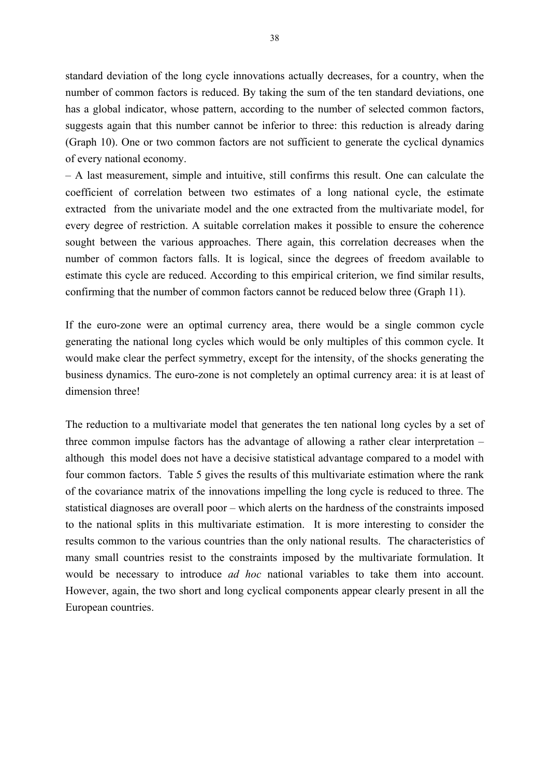standard deviation of the long cycle innovations actually decreases, for a country, when the number of common factors is reduced. By taking the sum of the ten standard deviations, one has a global indicator, whose pattern, according to the number of selected common factors, suggests again that this number cannot be inferior to three: this reduction is already daring (Graph 10). One or two common factors are not sufficient to generate the cyclical dynamics of every national economy.

– A last measurement, simple and intuitive, still confirms this result. One can calculate the coefficient of correlation between two estimates of a long national cycle, the estimate extracted from the univariate model and the one extracted from the multivariate model, for every degree of restriction. A suitable correlation makes it possible to ensure the coherence sought between the various approaches. There again, this correlation decreases when the number of common factors falls. It is logical, since the degrees of freedom available to estimate this cycle are reduced. According to this empirical criterion, we find similar results, confirming that the number of common factors cannot be reduced below three (Graph 11).

If the euro-zone were an optimal currency area, there would be a single common cycle generating the national long cycles which would be only multiples of this common cycle. It would make clear the perfect symmetry, except for the intensity, of the shocks generating the business dynamics. The euro-zone is not completely an optimal currency area: it is at least of dimension three!

The reduction to a multivariate model that generates the ten national long cycles by a set of three common impulse factors has the advantage of allowing a rather clear interpretation – although this model does not have a decisive statistical advantage compared to a model with four common factors. Table 5 gives the results of this multivariate estimation where the rank of the covariance matrix of the innovations impelling the long cycle is reduced to three. The statistical diagnoses are overall poor – which alerts on the hardness of the constraints imposed to the national splits in this multivariate estimation. It is more interesting to consider the results common to the various countries than the only national results. The characteristics of many small countries resist to the constraints imposed by the multivariate formulation. It would be necessary to introduce *ad hoc* national variables to take them into account. However, again, the two short and long cyclical components appear clearly present in all the European countries.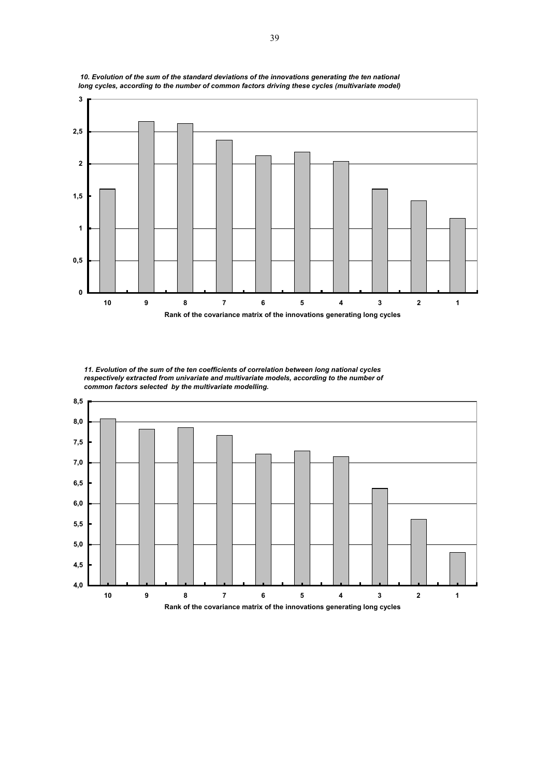

*11. Evolution of the sum of the ten coefficients of correlation between long national cycles respectively extracted from univariate and multivariate models, according to the number of* 



 *10. Evolution of the sum of the standard deviations of the innovations generating the ten national long cycles, according to the number of common factors driving these cycles (multivariate model)*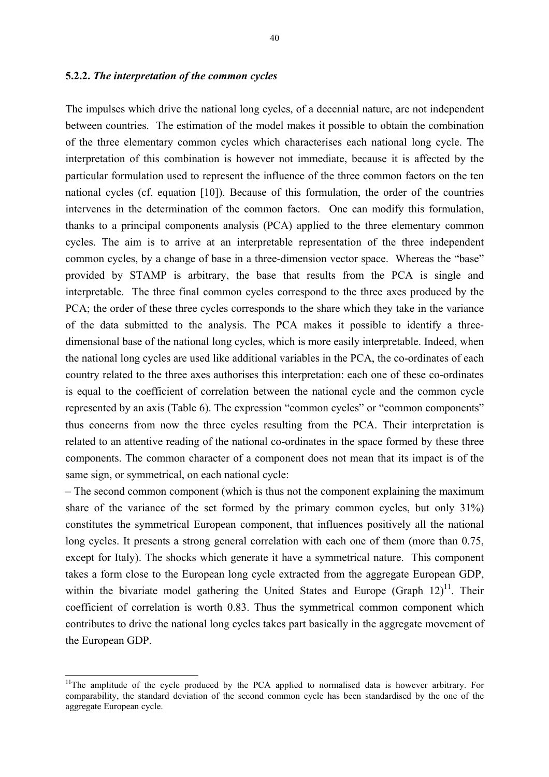### **5.2.2.** *The interpretation of the common cycles*

The impulses which drive the national long cycles, of a decennial nature, are not independent between countries. The estimation of the model makes it possible to obtain the combination of the three elementary common cycles which characterises each national long cycle. The interpretation of this combination is however not immediate, because it is affected by the particular formulation used to represent the influence of the three common factors on the ten national cycles (cf. equation [10]). Because of this formulation, the order of the countries intervenes in the determination of the common factors. One can modify this formulation, thanks to a principal components analysis (PCA) applied to the three elementary common cycles. The aim is to arrive at an interpretable representation of the three independent common cycles, by a change of base in a three-dimension vector space. Whereas the "base" provided by STAMP is arbitrary, the base that results from the PCA is single and interpretable. The three final common cycles correspond to the three axes produced by the PCA; the order of these three cycles corresponds to the share which they take in the variance of the data submitted to the analysis. The PCA makes it possible to identify a threedimensional base of the national long cycles, which is more easily interpretable. Indeed, when the national long cycles are used like additional variables in the PCA, the co-ordinates of each country related to the three axes authorises this interpretation: each one of these co-ordinates is equal to the coefficient of correlation between the national cycle and the common cycle represented by an axis (Table 6). The expression "common cycles" or "common components" thus concerns from now the three cycles resulting from the PCA. Their interpretation is related to an attentive reading of the national co-ordinates in the space formed by these three components. The common character of a component does not mean that its impact is of the same sign, or symmetrical, on each national cycle:

– The second common component (which is thus not the component explaining the maximum share of the variance of the set formed by the primary common cycles, but only 31%) constitutes the symmetrical European component, that influences positively all the national long cycles. It presents a strong general correlation with each one of them (more than 0.75, except for Italy). The shocks which generate it have a symmetrical nature. This component takes a form close to the European long cycle extracted from the aggregate European GDP, within the bivariate model gathering the United States and Europe (Graph  $12$ )<sup>11</sup>. Their coefficient of correlation is worth 0.83. Thus the symmetrical common component which contributes to drive the national long cycles takes part basically in the aggregate movement of the European GDP.

 $\overline{a}$ 

<span id="page-40-0"></span><sup>&</sup>lt;sup>11</sup>The amplitude of the cycle produced by the PCA applied to normalised data is however arbitrary. For comparability, the standard deviation of the second common cycle has been standardised by the one of the aggregate European cycle.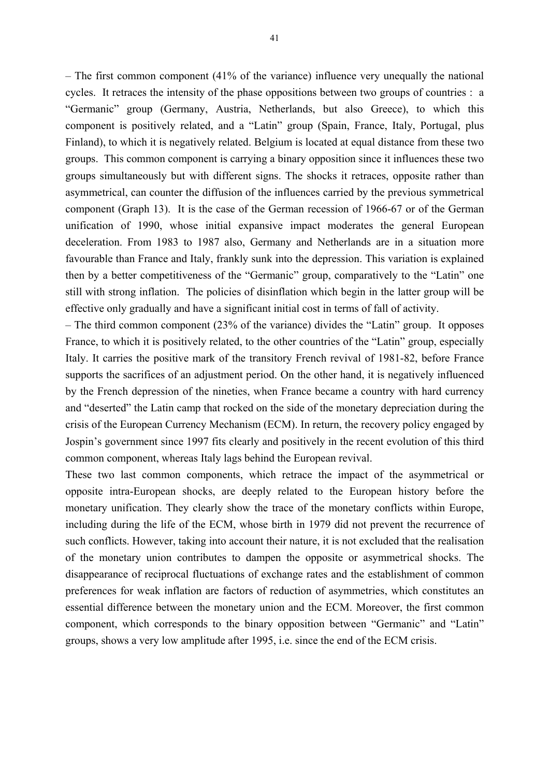– The first common component (41% of the variance) influence very unequally the national cycles. It retraces the intensity of the phase oppositions between two groups of countries : a "Germanic" group (Germany, Austria, Netherlands, but also Greece), to which this component is positively related, and a "Latin" group (Spain, France, Italy, Portugal, plus Finland), to which it is negatively related. Belgium is located at equal distance from these two groups. This common component is carrying a binary opposition since it influences these two groups simultaneously but with different signs. The shocks it retraces, opposite rather than asymmetrical, can counter the diffusion of the influences carried by the previous symmetrical component (Graph 13). It is the case of the German recession of 1966-67 or of the German unification of 1990, whose initial expansive impact moderates the general European deceleration. From 1983 to 1987 also, Germany and Netherlands are in a situation more favourable than France and Italy, frankly sunk into the depression. This variation is explained then by a better competitiveness of the "Germanic" group, comparatively to the "Latin" one still with strong inflation. The policies of disinflation which begin in the latter group will be effective only gradually and have a significant initial cost in terms of fall of activity.

– The third common component (23% of the variance) divides the "Latin" group. It opposes France, to which it is positively related, to the other countries of the "Latin" group, especially Italy. It carries the positive mark of the transitory French revival of 1981-82, before France supports the sacrifices of an adjustment period. On the other hand, it is negatively influenced by the French depression of the nineties, when France became a country with hard currency and "deserted" the Latin camp that rocked on the side of the monetary depreciation during the crisis of the European Currency Mechanism (ECM). In return, the recovery policy engaged by Jospin's government since 1997 fits clearly and positively in the recent evolution of this third common component, whereas Italy lags behind the European revival.

These two last common components, which retrace the impact of the asymmetrical or opposite intra-European shocks, are deeply related to the European history before the monetary unification. They clearly show the trace of the monetary conflicts within Europe, including during the life of the ECM, whose birth in 1979 did not prevent the recurrence of such conflicts. However, taking into account their nature, it is not excluded that the realisation of the monetary union contributes to dampen the opposite or asymmetrical shocks. The disappearance of reciprocal fluctuations of exchange rates and the establishment of common preferences for weak inflation are factors of reduction of asymmetries, which constitutes an essential difference between the monetary union and the ECM. Moreover, the first common component, which corresponds to the binary opposition between "Germanic" and "Latin" groups, shows a very low amplitude after 1995, i.e. since the end of the ECM crisis.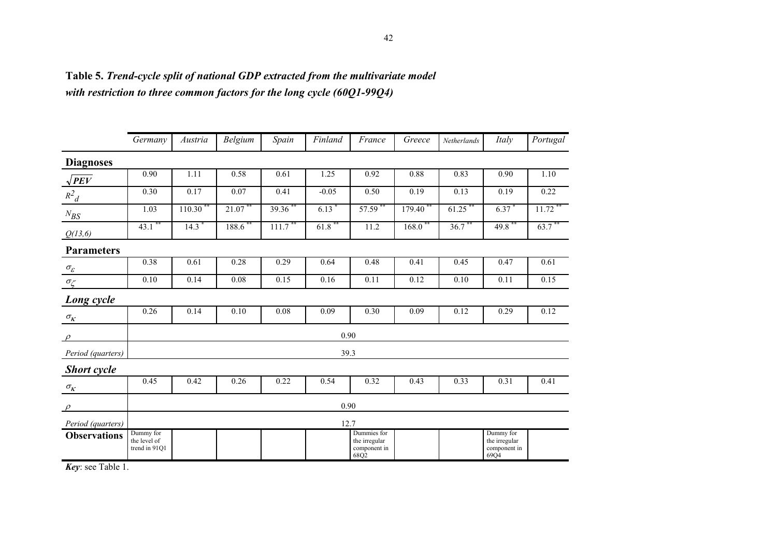|                          | Germany                                    | Austria | Belgium | Spain | Finland | France                                               | Greece | Netherlands | Italy                                              | Portugal  |
|--------------------------|--------------------------------------------|---------|---------|-------|---------|------------------------------------------------------|--------|-------------|----------------------------------------------------|-----------|
| <b>Diagnoses</b>         |                                            |         |         |       |         |                                                      |        |             |                                                    |           |
| $\sqrt{PEV}$             | 0.90                                       | 1.11    | 0.58    | 0.61  | 1.25    | 0.92                                                 | 0.88   | 0.83        | 0.90                                               | 1.10      |
| $R^2$ <sub>d</sub>       | 0.30                                       | 0.17    | 0.07    | 0.41  | $-0.05$ | 0.50                                                 | 0.19   | 0.13        | 0.19                                               | 0.22      |
| $N_{\mathit{BS}}$        | 1.03                                       | 110.30  | 21.07   | 39.36 | 6.13    | 57.59                                                | 179.40 | 61.25       | 6.37                                               | $11.72$ * |
| Q(13,6)                  | 43.1                                       | 14.3    | 188.6   | 111.7 | 61.8    | 11.2                                                 | 168.0  | $36.7$ **   | 49.8                                               | 63.7      |
| <b>Parameters</b>        |                                            |         |         |       |         |                                                      |        |             |                                                    |           |
| $\sigma_{\!\varepsilon}$ | 0.38                                       | 0.61    | 0.28    | 0.29  | 0.64    | 0.48                                                 | 0.41   | 0.45        | 0.47                                               | 0.61      |
| $\sigma_{\zeta}$         | 0.10                                       | 0.14    | 0.08    | 0.15  | 0.16    | 0.11                                                 | 0.12   | 0.10        | 0.11                                               | 0.15      |
| Long cycle               |                                            |         |         |       |         |                                                      |        |             |                                                    |           |
| $\sigma_{\!K}^{}$        | 0.26                                       | 0.14    | 0.10    | 0.08  | 0.09    | 0.30                                                 | 0.09   | 0.12        | 0.29                                               | 0.12      |
| $\rho$                   |                                            |         |         |       | 0.90    |                                                      |        |             |                                                    |           |
| Period (quarters)        |                                            |         |         |       | 39.3    |                                                      |        |             |                                                    |           |
| <b>Short cycle</b>       |                                            |         |         |       |         |                                                      |        |             |                                                    |           |
| $\sigma_{\!}$            | 0.45                                       | 0.42    | 0.26    | 0.22  | 0.54    | 0.32                                                 | 0.43   | 0.33        | 0.31                                               | 0.41      |
| $\rho$                   |                                            |         |         |       | 0.90    |                                                      |        |             |                                                    |           |
| Period (quarters)        |                                            |         |         |       | 12.7    |                                                      |        |             |                                                    |           |
| <b>Observations</b>      | Dummy for<br>the level of<br>trend in 91Q1 |         |         |       |         | Dummies for<br>the irregular<br>component in<br>68Q2 |        |             | Dummy for<br>the irregular<br>component in<br>69Q4 |           |

**Table 5.** *Trend-cycle split of national GDP extracted from the multivariate model with restriction to three common factors for the long cycle (60Q1-99Q4)*

*Key*: see Table 1.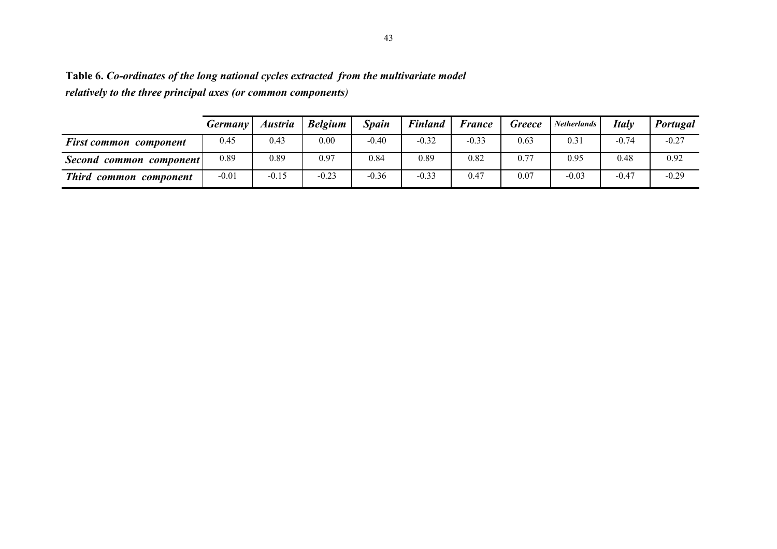|                               | Germany <sup>1</sup> | Austria | <b>Belgium</b> | Spain   | <b>Finland</b> | <b>France</b> | <b>Greece</b> | <b>Netherlands</b> | Italy   | Portugal |
|-------------------------------|----------------------|---------|----------------|---------|----------------|---------------|---------------|--------------------|---------|----------|
| <b>First common component</b> | 0.45                 | 0.43    | 0.00           | $-0.40$ | $-0.32$        | $-0.33$       | 0.63          | 0.31               | $-0.74$ | $-0.27$  |
| Second common component!      | 0.89                 | 0.89    | 0.97           | 0.84    | 0.89           | 0.82          | 0.77          | 0.95               | 0.48    | 0.92     |
| Third common component        | $-0.01$              | $-0.15$ | $-0.23$        | $-0.36$ | $-0.33$        | 0.47          | 0.07          | $-0.03$            | $-0.47$ | $-0.29$  |

**Table 6.** *Co-ordinates of the long national cycles extracted from the multivariate model relatively to the three principal axes (or common components)*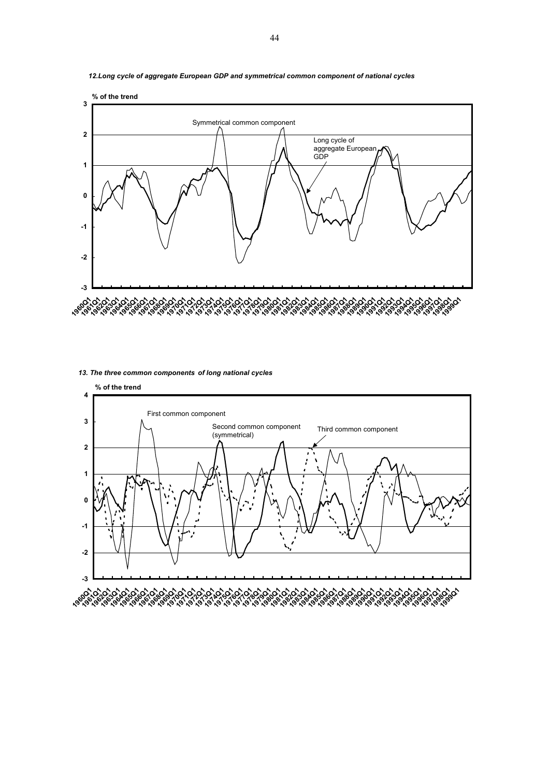

*12.Long cycle of aggregate European GDP and symmetrical common component of national cycles* 

#### *13. The three common components of long national cycles*

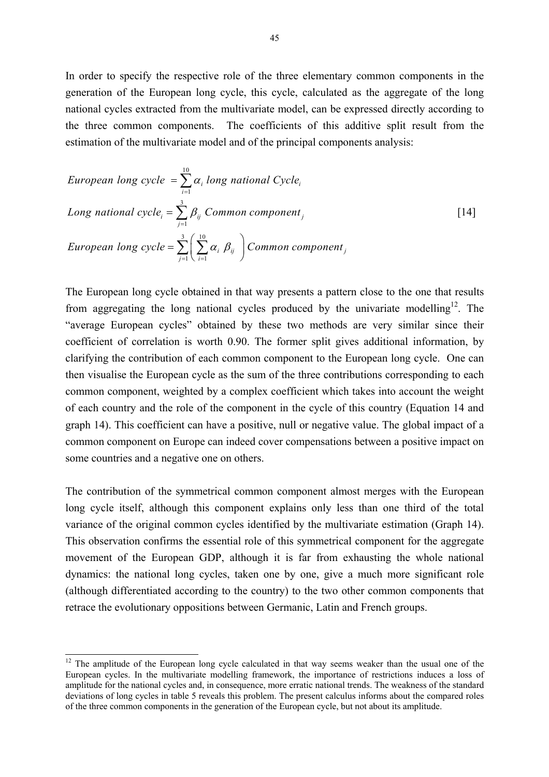In order to specify the respective role of the three elementary common components in the generation of the European long cycle, this cycle, calculated as the aggregate of the long national cycles extracted from the multivariate model, can be expressed directly according to the three common components. The coefficients of this additive split result from the estimation of the multivariate model and of the principal components analysis:

European long cycle = 
$$
\sum_{i=1}^{10} \alpha_i
$$
 long national Cycle<sub>i</sub>

\nLong national cycle<sub>i</sub> =  $\sum_{j=1}^{3} \beta_{ij}$  Common component<sub>j</sub>

\nEuropean long cycle =  $\sum_{j=1}^{3} \left( \sum_{i=1}^{10} \alpha_i \beta_{ij} \right)$  Common component<sub>j</sub>

The European long cycle obtained in that way presents a pattern close to the one that results from aggregating the long national cycles produced by the univariate modelling<sup>12</sup>. The "average European cycles" obtained by these two methods are very similar since their coefficient of correlation is worth 0.90. The former split gives additional information, by clarifying the contribution of each common component to the European long cycle. One can then visualise the European cycle as the sum of the three contributions corresponding to each common component, weighted by a complex coefficient which takes into account the weight of each country and the role of the component in the cycle of this country (Equation 14 and graph 14). This coefficient can have a positive, null or negative value. The global impact of a common component on Europe can indeed cover compensations between a positive impact on some countries and a negative one on others.

The contribution of the symmetrical common component almost merges with the European long cycle itself, although this component explains only less than one third of the total variance of the original common cycles identified by the multivariate estimation (Graph 14). This observation confirms the essential role of this symmetrical component for the aggregate movement of the European GDP, although it is far from exhausting the whole national dynamics: the national long cycles, taken one by one, give a much more significant role (although differentiated according to the country) to the two other common components that retrace the evolutionary oppositions between Germanic, Latin and French groups.

 $\overline{\phantom{a}}$ 

<span id="page-45-0"></span><sup>&</sup>lt;sup>12</sup> The amplitude of the European long cycle calculated in that way seems weaker than the usual one of the European cycles. In the multivariate modelling framework, the importance of restrictions induces a loss of amplitude for the national cycles and, in consequence, more erratic national trends. The weakness of the standard deviations of long cycles in table 5 reveals this problem. The present calculus informs about the compared roles of the three common components in the generation of the European cycle, but not about its amplitude.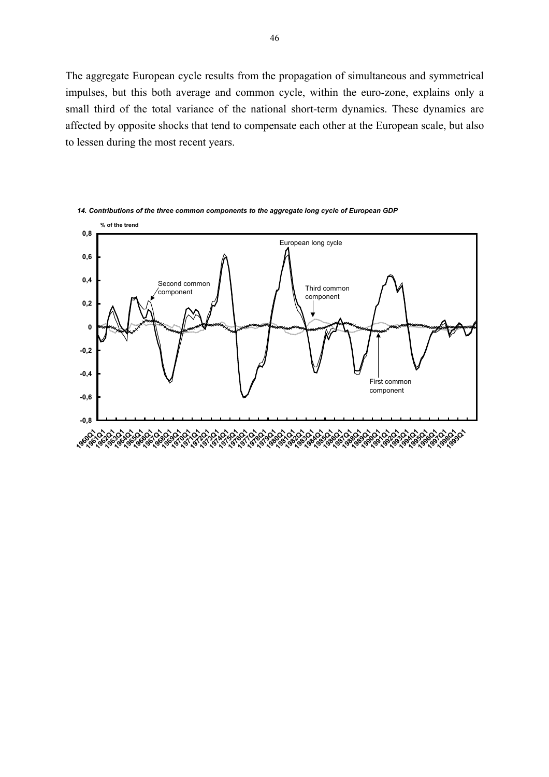The aggregate European cycle results from the propagation of simultaneous and symmetrical impulses, but this both average and common cycle, within the euro-zone, explains only a small third of the total variance of the national short-term dynamics. These dynamics are affected by opposite shocks that tend to compensate each other at the European scale, but also to lessen during the most recent years.



*14. Contributions of the three common components to the aggregate long cycle of European GDP*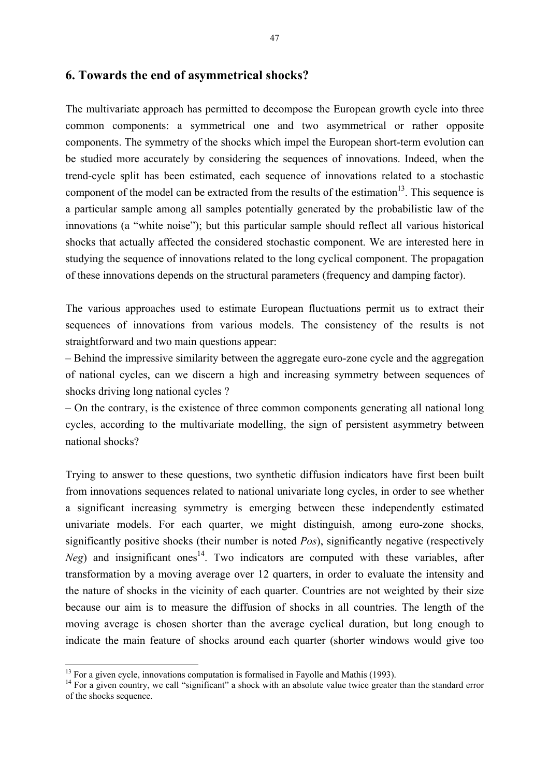### **6. Towards the end of asymmetrical shocks?**

The multivariate approach has permitted to decompose the European growth cycle into three common components: a symmetrical one and two asymmetrical or rather opposite components. The symmetry of the shocks which impel the European short-term evolution can be studied more accurately by considering the sequences of innovations. Indeed, when the trend-cycle split has been estimated, each sequence of innovations related to a stochastic component of the model can be extracted from the results of the estimation<sup>13</sup>. This sequence is a particular sample among all samples potentially generated by the probabilistic law of the innovations (a "white noise"); but this particular sample should reflect all various historical shocks that actually affected the considered stochastic component. We are interested here in studying the sequence of innovations related to the long cyclical component. The propagation of these innovations depends on the structural parameters (frequency and damping factor).

The various approaches used to estimate European fluctuations permit us to extract their sequences of innovations from various models. The consistency of the results is not straightforward and two main questions appear:

– Behind the impressive similarity between the aggregate euro-zone cycle and the aggregation of national cycles, can we discern a high and increasing symmetry between sequences of shocks driving long national cycles ?

– On the contrary, is the existence of three common components generating all national long cycles, according to the multivariate modelling, the sign of persistent asymmetry between national shocks?

Trying to answer to these questions, two synthetic diffusion indicators have first been built from innovations sequences related to national univariate long cycles, in order to see whether a significant increasing symmetry is emerging between these independently estimated univariate models. For each quarter, we might distinguish, among euro-zone shocks, significantly positive shocks (their number is noted *Pos*), significantly negative (respectively *Neg*) and insignificant ones<sup>14</sup>. Two indicators are computed with these variables, after transformation by a moving average over 12 quarters, in order to evaluate the intensity and the nature of shocks in the vicinity of each quarter. Countries are not weighted by their size because our aim is to measure the diffusion of shocks in all countries. The length of the moving average is chosen shorter than the average cyclical duration, but long enough to indicate the main feature of shocks around each quarter (shorter windows would give too

<span id="page-47-0"></span> $13$  For a given cycle, innovations computation is formalised in Fayolle and Mathis (1993).

<span id="page-47-1"></span> $14$  For a given country, we call "significant" a shock with an absolute value twice greater than the standard error of the shocks sequence.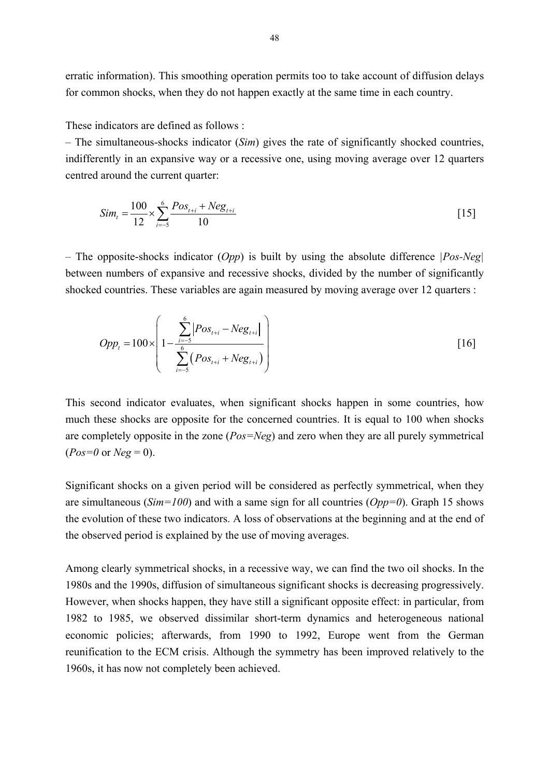erratic information). This smoothing operation permits too to take account of diffusion delays for common shocks, when they do not happen exactly at the same time in each country.

These indicators are defined as follows :

– The simultaneous-shocks indicator (*Sim*) gives the rate of significantly shocked countries, indifferently in an expansive way or a recessive one, using moving average over 12 quarters centred around the current quarter:

$$
Sim_{t} = \frac{100}{12} \times \sum_{i=-5}^{6} \frac{Pos_{t+i} + Neg_{t+i}}{10}
$$
 [15]

– The opposite-shocks indicator (*Opp*) is built by using the absolute difference *|Pos-Neg|* between numbers of expansive and recessive shocks, divided by the number of significantly shocked countries. These variables are again measured by moving average over 12 quarters :

$$
Opp_{t} = 100 \times \left(1 - \frac{\sum_{i=-5}^{6} |Pos_{t+i} - Neg_{t+i}|}{\sum_{i=-5}^{6} (Pos_{t+i} + Neg_{t+i})}\right)
$$
 [16]

This second indicator evaluates, when significant shocks happen in some countries, how much these shocks are opposite for the concerned countries. It is equal to 100 when shocks are completely opposite in the zone (*Pos=Neg*) and zero when they are all purely symmetrical  $(Pos=0$  or  $Neg=0$ ).

Significant shocks on a given period will be considered as perfectly symmetrical, when they are simultaneous (*Sim=100*) and with a same sign for all countries (*Opp=0*). Graph 15 shows the evolution of these two indicators. A loss of observations at the beginning and at the end of the observed period is explained by the use of moving averages.

Among clearly symmetrical shocks, in a recessive way, we can find the two oil shocks. In the 1980s and the 1990s, diffusion of simultaneous significant shocks is decreasing progressively. However, when shocks happen, they have still a significant opposite effect: in particular, from 1982 to 1985, we observed dissimilar short-term dynamics and heterogeneous national economic policies; afterwards, from 1990 to 1992, Europe went from the German reunification to the ECM crisis. Although the symmetry has been improved relatively to the 1960s, it has now not completely been achieved.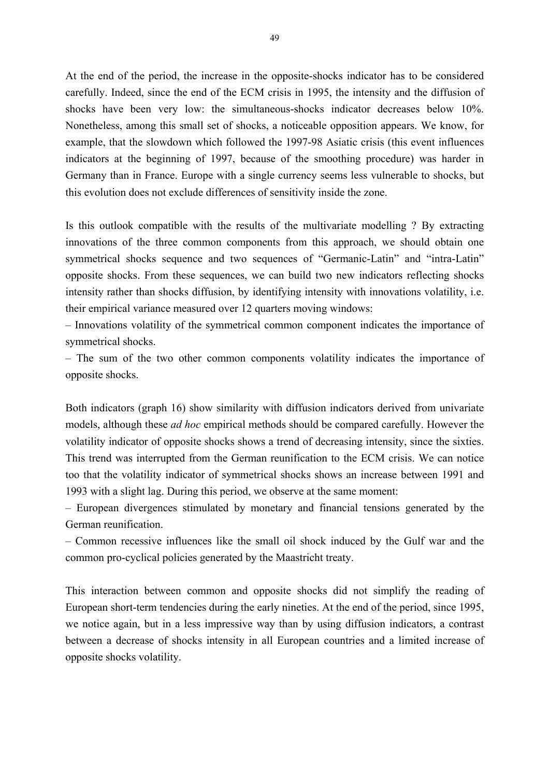At the end of the period, the increase in the opposite-shocks indicator has to be considered carefully. Indeed, since the end of the ECM crisis in 1995, the intensity and the diffusion of shocks have been very low: the simultaneous-shocks indicator decreases below 10%. Nonetheless, among this small set of shocks, a noticeable opposition appears. We know, for example, that the slowdown which followed the 1997-98 Asiatic crisis (this event influences indicators at the beginning of 1997, because of the smoothing procedure) was harder in Germany than in France. Europe with a single currency seems less vulnerable to shocks, but this evolution does not exclude differences of sensitivity inside the zone.

Is this outlook compatible with the results of the multivariate modelling ? By extracting innovations of the three common components from this approach, we should obtain one symmetrical shocks sequence and two sequences of "Germanic-Latin" and "intra-Latin" opposite shocks. From these sequences, we can build two new indicators reflecting shocks intensity rather than shocks diffusion, by identifying intensity with innovations volatility, i.e. their empirical variance measured over 12 quarters moving windows:

– Innovations volatility of the symmetrical common component indicates the importance of symmetrical shocks.

– The sum of the two other common components volatility indicates the importance of opposite shocks.

Both indicators (graph 16) show similarity with diffusion indicators derived from univariate models, although these *ad hoc* empirical methods should be compared carefully. However the volatility indicator of opposite shocks shows a trend of decreasing intensity, since the sixties. This trend was interrupted from the German reunification to the ECM crisis. We can notice too that the volatility indicator of symmetrical shocks shows an increase between 1991 and 1993 with a slight lag. During this period, we observe at the same moment:

– European divergences stimulated by monetary and financial tensions generated by the German reunification.

– Common recessive influences like the small oil shock induced by the Gulf war and the common pro-cyclical policies generated by the Maastricht treaty.

This interaction between common and opposite shocks did not simplify the reading of European short-term tendencies during the early nineties. At the end of the period, since 1995, we notice again, but in a less impressive way than by using diffusion indicators, a contrast between a decrease of shocks intensity in all European countries and a limited increase of opposite shocks volatility.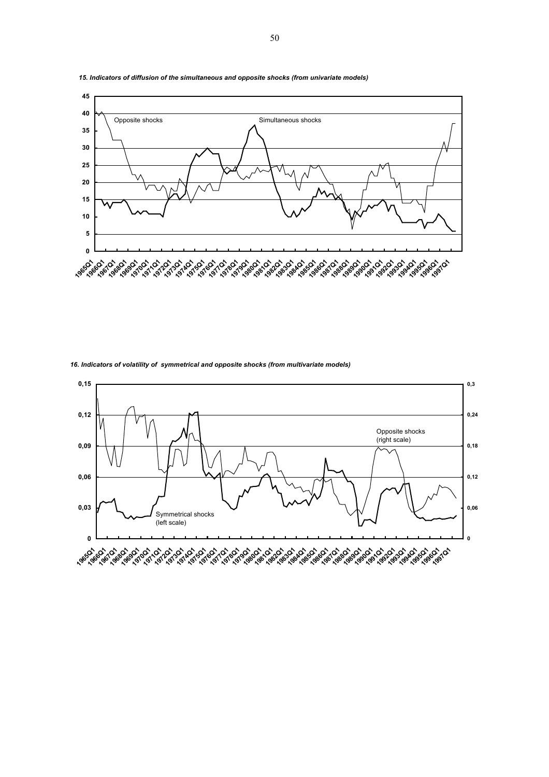

*15. Indicators of diffusion of the simultaneous and opposite shocks (from univariate models)*

*16. Indicators of volatility of symmetrical and opposite shocks (from multivariate models)*

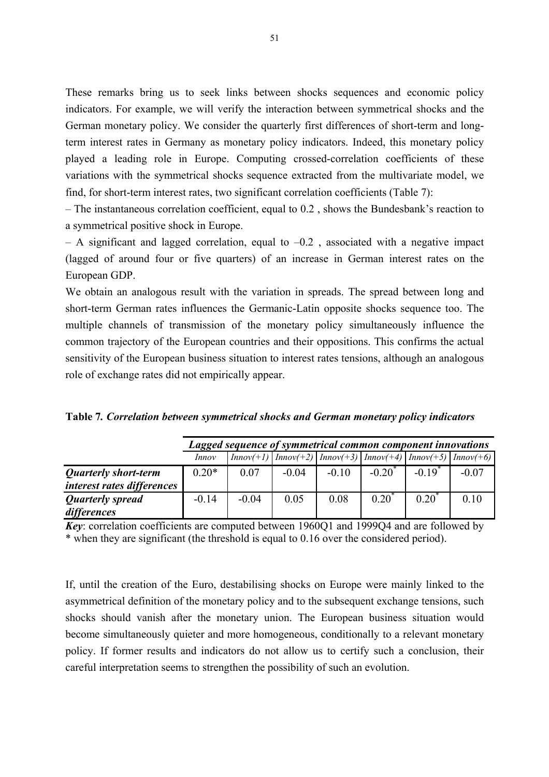These remarks bring us to seek links between shocks sequences and economic policy indicators. For example, we will verify the interaction between symmetrical shocks and the German monetary policy. We consider the quarterly first differences of short-term and longterm interest rates in Germany as monetary policy indicators. Indeed, this monetary policy played a leading role in Europe. Computing crossed-correlation coefficients of these variations with the symmetrical shocks sequence extracted from the multivariate model, we find, for short-term interest rates, two significant correlation coefficients (Table 7):

– The instantaneous correlation coefficient, equal to 0.2 , shows the Bundesbank's reaction to a symmetrical positive shock in Europe.

 $-$  A significant and lagged correlation, equal to  $-0.2$ , associated with a negative impact (lagged of around four or five quarters) of an increase in German interest rates on the European GDP.

We obtain an analogous result with the variation in spreads. The spread between long and short-term German rates influences the Germanic-Latin opposite shocks sequence too. The multiple channels of transmission of the monetary policy simultaneously influence the common trajectory of the European countries and their oppositions. This confirms the actual sensitivity of the European business situation to interest rates tensions, although an analogous role of exchange rates did not empirically appear.

|                             |              | Lagged sequence of symmetrical common component innovations                                                                                                                                       |         |         |           |           |         |  |  |  |  |  |  |
|-----------------------------|--------------|---------------------------------------------------------------------------------------------------------------------------------------------------------------------------------------------------|---------|---------|-----------|-----------|---------|--|--|--|--|--|--|
|                             | <i>Innov</i> | $\left[ \text{Innov}(+1) \right] \left[ \text{Innov}(+2) \right] \left[ \text{Innov}(+3) \right] \left[ \text{Innov}(+4) \right] \left[ \text{Innov}(+5) \right] \left[ \text{Innov}(+6) \right]$ |         |         |           |           |         |  |  |  |  |  |  |
| <b>Quarterly short-term</b> | $0.20*$      | 0.07                                                                                                                                                                                              | $-0.04$ | $-0.10$ | $-0.20^*$ | $-0.19^*$ | $-0.07$ |  |  |  |  |  |  |

**Table 7***. Correlation between symmetrical shocks and German monetary policy indicators* 

*Quarterly short-term interest rates differences*

*Quarterly spread differences*

| $w_{II}$ of $\alpha_{I}$                                                                         |  |  |  |  |
|--------------------------------------------------------------------------------------------------|--|--|--|--|
| <b>Key</b> : correlation coefficients are computed between 1960Q1 and 1999Q4 and are followed by |  |  |  |  |
| * when they are significant (the threshold is equal to 0.16 over the considered period).         |  |  |  |  |

 $-0.14$   $-0.04$   $0.05$   $0.08$   $0.20^*$   $0.20^*$  0.10

If, until the creation of the Euro, destabilising shocks on Europe were mainly linked to the asymmetrical definition of the monetary policy and to the subsequent exchange tensions, such shocks should vanish after the monetary union. The European business situation would become simultaneously quieter and more homogeneous, conditionally to a relevant monetary policy. If former results and indicators do not allow us to certify such a conclusion, their careful interpretation seems to strengthen the possibility of such an evolution.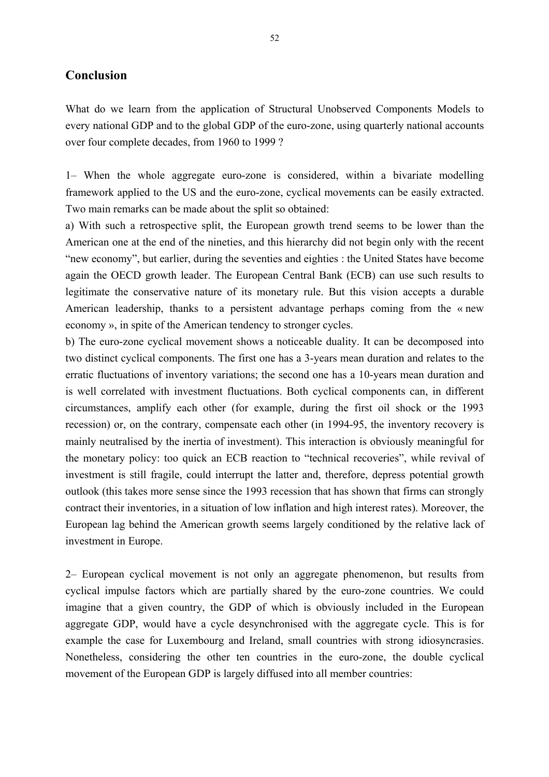### **Conclusion**

What do we learn from the application of Structural Unobserved Components Models to every national GDP and to the global GDP of the euro-zone, using quarterly national accounts over four complete decades, from 1960 to 1999 ?

1– When the whole aggregate euro-zone is considered, within a bivariate modelling framework applied to the US and the euro-zone, cyclical movements can be easily extracted. Two main remarks can be made about the split so obtained:

a) With such a retrospective split, the European growth trend seems to be lower than the American one at the end of the nineties, and this hierarchy did not begin only with the recent "new economy", but earlier, during the seventies and eighties : the United States have become again the OECD growth leader. The European Central Bank (ECB) can use such results to legitimate the conservative nature of its monetary rule. But this vision accepts a durable American leadership, thanks to a persistent advantage perhaps coming from the « new economy », in spite of the American tendency to stronger cycles.

b) The euro-zone cyclical movement shows a noticeable duality. It can be decomposed into two distinct cyclical components. The first one has a 3-years mean duration and relates to the erratic fluctuations of inventory variations; the second one has a 10-years mean duration and is well correlated with investment fluctuations. Both cyclical components can, in different circumstances, amplify each other (for example, during the first oil shock or the 1993 recession) or, on the contrary, compensate each other (in 1994-95, the inventory recovery is mainly neutralised by the inertia of investment). This interaction is obviously meaningful for the monetary policy: too quick an ECB reaction to "technical recoveries", while revival of investment is still fragile, could interrupt the latter and, therefore, depress potential growth outlook (this takes more sense since the 1993 recession that has shown that firms can strongly contract their inventories, in a situation of low inflation and high interest rates). Moreover, the European lag behind the American growth seems largely conditioned by the relative lack of investment in Europe.

2– European cyclical movement is not only an aggregate phenomenon, but results from cyclical impulse factors which are partially shared by the euro-zone countries. We could imagine that a given country, the GDP of which is obviously included in the European aggregate GDP, would have a cycle desynchronised with the aggregate cycle. This is for example the case for Luxembourg and Ireland, small countries with strong idiosyncrasies. Nonetheless, considering the other ten countries in the euro-zone, the double cyclical movement of the European GDP is largely diffused into all member countries: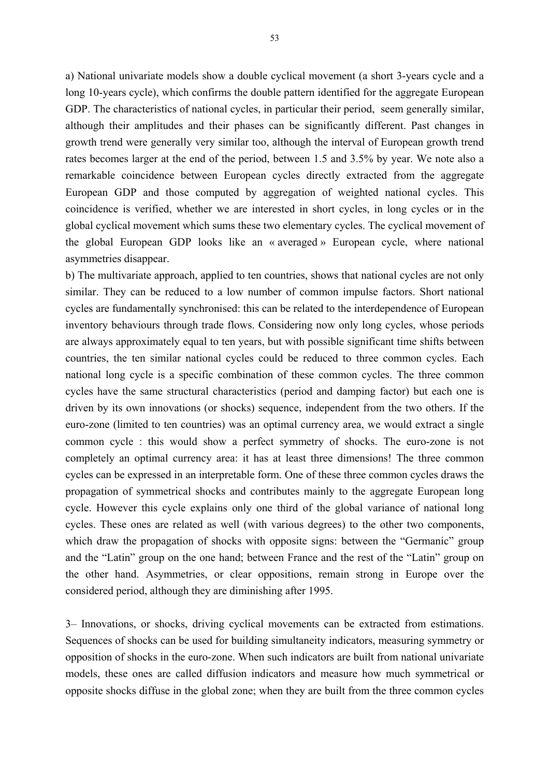a) National univariate models show a double cyclical movement (a short 3-years cycle and a long 10-years cycle), which confirms the double pattern identified for the aggregate European GDP. The characteristics of national cycles, in particular their period, seem generally similar, although their amplitudes and their phases can be significantly different. Past changes in growth trend were generally very similar too, although the interval of European growth trend rates becomes larger at the end of the period, between 1.5 and 3.5% by year. We note also a remarkable coincidence between European cycles directly extracted from the aggregate European GDP and those computed by aggregation of weighted national cycles. This coincidence is verified, whether we are interested in short cycles, in long cycles or in the global cyclical movement which sums these two elementary cycles. The cyclical movement of the global European GDP looks like an « averaged » European cycle, where national asymmetries disappear.

b) The multivariate approach, applied to ten countries, shows that national cycles are not only similar. They can be reduced to a low number of common impulse factors. Short national cycles are fundamentally synchronised: this can be related to the interdependence of European inventory behaviours through trade flows. Considering now only long cycles, whose periods are always approximately equal to ten years, but with possible significant time shifts between countries, the ten similar national cycles could be reduced to three common cycles. Each national long cycle is a specific combination of these common cycles. The three common cycles have the same structural characteristics (period and damping factor) but each one is driven by its own innovations (or shocks) sequence, independent from the two others. If the euro-zone (limited to ten countries) was an optimal currency area, we would extract a single common cycle : this would show a perfect symmetry of shocks. The euro-zone is not completely an optimal currency area: it has at least three dimensions! The three common cycles can be expressed in an interpretable form. One of these three common cycles draws the propagation of symmetrical shocks and contributes mainly to the aggregate European long cycle. However this cycle explains only one third of the global variance of national long cycles. These ones are related as well (with various degrees) to the other two components, which draw the propagation of shocks with opposite signs: between the "Germanic" group and the "Latin" group on the one hand; between France and the rest of the "Latin" group on the other hand. Asymmetries, or clear oppositions, remain strong in Europe over the considered period, although they are diminishing after 1995.

3– Innovations, or shocks, driving cyclical movements can be extracted from estimations. Sequences of shocks can be used for building simultaneity indicators, measuring symmetry or opposition of shocks in the euro-zone. When such indicators are built from national univariate models, these ones are called diffusion indicators and measure how much symmetrical or opposite shocks diffuse in the global zone; when they are built from the three common cycles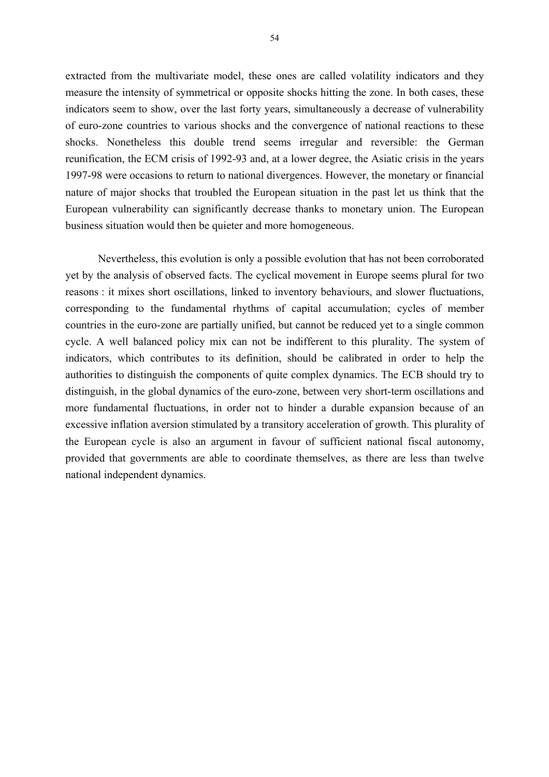extracted from the multivariate model, these ones are called volatility indicators and they measure the intensity of symmetrical or opposite shocks hitting the zone. In both cases, these indicators seem to show, over the last forty years, simultaneously a decrease of vulnerability of euro-zone countries to various shocks and the convergence of national reactions to these shocks. Nonetheless this double trend seems irregular and reversible: the German reunification, the ECM crisis of 1992-93 and, at a lower degree, the Asiatic crisis in the years 1997-98 were occasions to return to national divergences. However, the monetary or financial nature of major shocks that troubled the European situation in the past let us think that the European vulnerability can significantly decrease thanks to monetary union. The European business situation would then be quieter and more homogeneous.

Nevertheless, this evolution is only a possible evolution that has not been corroborated yet by the analysis of observed facts. The cyclical movement in Europe seems plural for two reasons : it mixes short oscillations, linked to inventory behaviours, and slower fluctuations, corresponding to the fundamental rhythms of capital accumulation; cycles of member countries in the euro-zone are partially unified, but cannot be reduced yet to a single common cycle. A well balanced policy mix can not be indifferent to this plurality. The system of indicators, which contributes to its definition, should be calibrated in order to help the authorities to distinguish the components of quite complex dynamics. The ECB should try to distinguish, in the global dynamics of the euro-zone, between very short-term oscillations and more fundamental fluctuations, in order not to hinder a durable expansion because of an excessive inflation aversion stimulated by a transitory acceleration of growth. This plurality of the European cycle is also an argument in favour of sufficient national fiscal autonomy, provided that governments are able to coordinate themselves, as there are less than twelve national independent dynamics.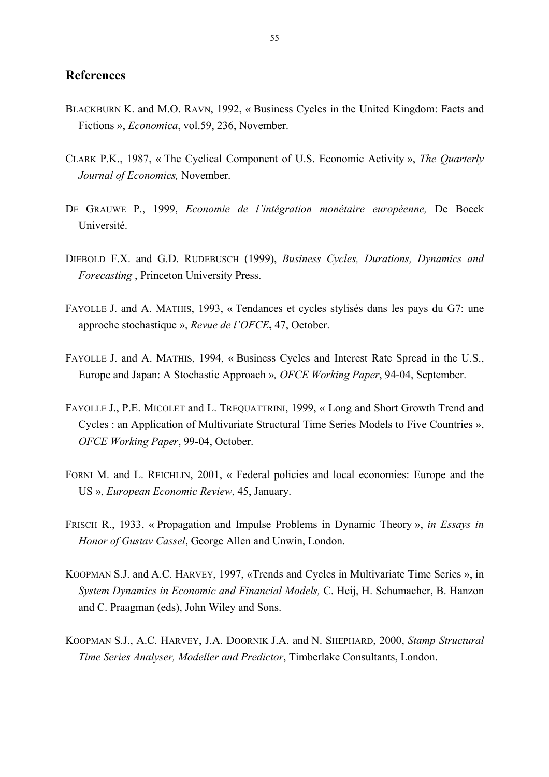### **References**

- BLACKBURN K. and M.O. RAVN, 1992, « Business Cycles in the United Kingdom: Facts and Fictions », *Economica*, vol.59, 236, November.
- CLARK P.K., 1987, « The Cyclical Component of U.S. Economic Activity », *The Quarterly Journal of Economics,* November.
- DE GRAUWE P., 1999, *Economie de l'intégration monétaire européenne,* De Boeck Université.
- DIEBOLD F.X. and G.D. RUDEBUSCH (1999), *Business Cycles, Durations, Dynamics and Forecasting* , Princeton University Press.
- FAYOLLE J. and A. MATHIS, 1993, « Tendances et cycles stylisés dans les pays du G7: une approche stochastique », *Revue de l'OFCE***,** 47, October.
- FAYOLLE J. and A. MATHIS, 1994, « Business Cycles and Interest Rate Spread in the U.S., Europe and Japan: A Stochastic Approach »*, OFCE Working Paper*, 94-04, September.
- FAYOLLE J., P.E. MICOLET and L. TREQUATTRINI, 1999, « Long and Short Growth Trend and Cycles : an Application of Multivariate Structural Time Series Models to Five Countries », *OFCE Working Paper*, 99-04, October.
- FORNI M. and L. REICHLIN, 2001, « Federal policies and local economies: Europe and the US », *European Economic Review*, 45, January.
- FRISCH R., 1933, « Propagation and Impulse Problems in Dynamic Theory », *in Essays in Honor of Gustav Cassel*, George Allen and Unwin, London.
- KOOPMAN S.J. and A.C. HARVEY, 1997, «Trends and Cycles in Multivariate Time Series », in *System Dynamics in Economic and Financial Models,* C. Heij, H. Schumacher, B. Hanzon and C. Praagman (eds), John Wiley and Sons.
- KOOPMAN S.J., A.C. HARVEY, J.A. DOORNIK J.A. and N. SHEPHARD, 2000, *Stamp Structural Time Series Analyser, Modeller and Predictor*, Timberlake Consultants, London.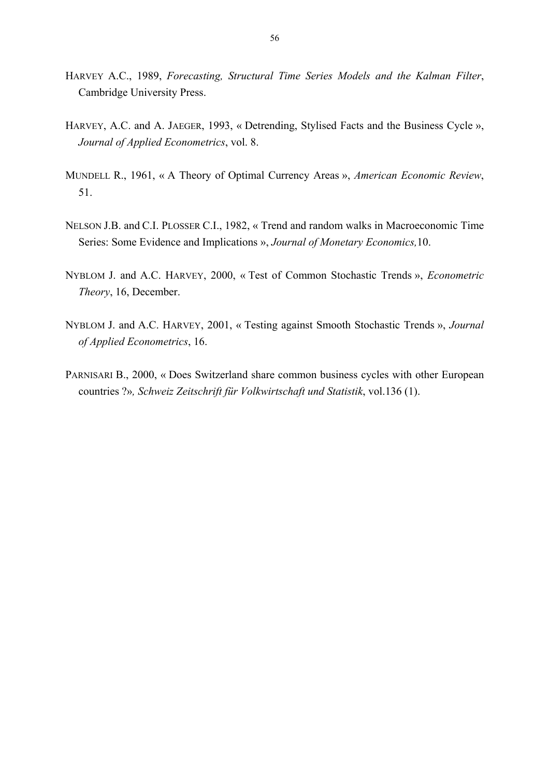- HARVEY A.C., 1989, *Forecasting, Structural Time Series Models and the Kalman Filter*, Cambridge University Press.
- HARVEY, A.C. and A. JAEGER, 1993, « Detrending, Stylised Facts and the Business Cycle », *Journal of Applied Econometrics*, vol. 8.
- MUNDELL R., 1961, « A Theory of Optimal Currency Areas », *American Economic Review*, 51.
- NELSON J.B. and C.I. PLOSSER C.I., 1982, « Trend and random walks in Macroeconomic Time Series: Some Evidence and Implications », *Journal of Monetary Economics,*10.
- NYBLOM J. and A.C. HARVEY, 2000, « Test of Common Stochastic Trends », *Econometric Theory*, 16, December.
- NYBLOM J. and A.C. HARVEY, 2001, « Testing against Smooth Stochastic Trends », *Journal of Applied Econometrics*, 16.
- PARNISARI B., 2000, « Does Switzerland share common business cycles with other European countries ?»*, Schweiz Zeitschrift für Volkwirtschaft und Statistik*, vol.136 (1).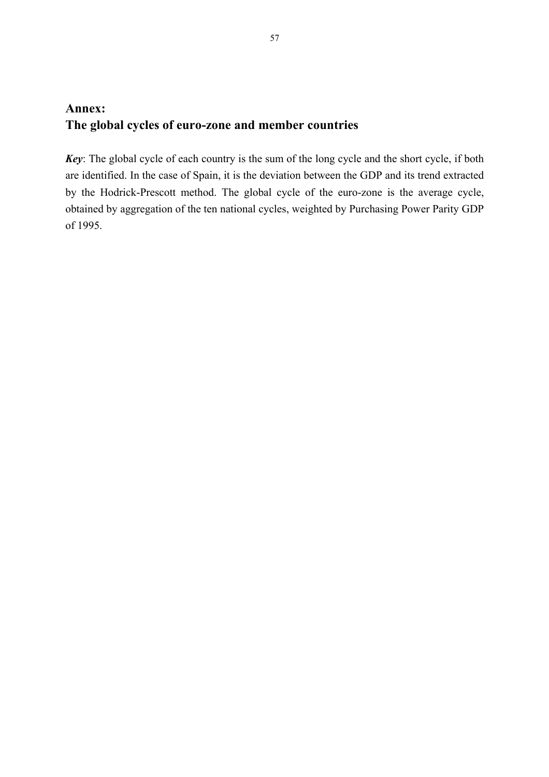# **Annex: The global cycles of euro-zone and member countries**

*Key*: The global cycle of each country is the sum of the long cycle and the short cycle, if both are identified. In the case of Spain, it is the deviation between the GDP and its trend extracted by the Hodrick-Prescott method. The global cycle of the euro-zone is the average cycle, obtained by aggregation of the ten national cycles, weighted by Purchasing Power Parity GDP of 1995.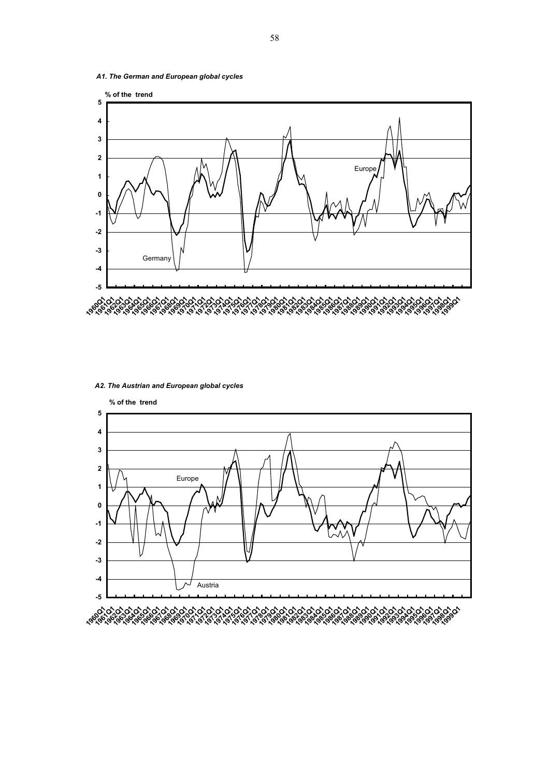*A1. The German and European global cycles* 



#### *A2. The Austrian and European global cycles*

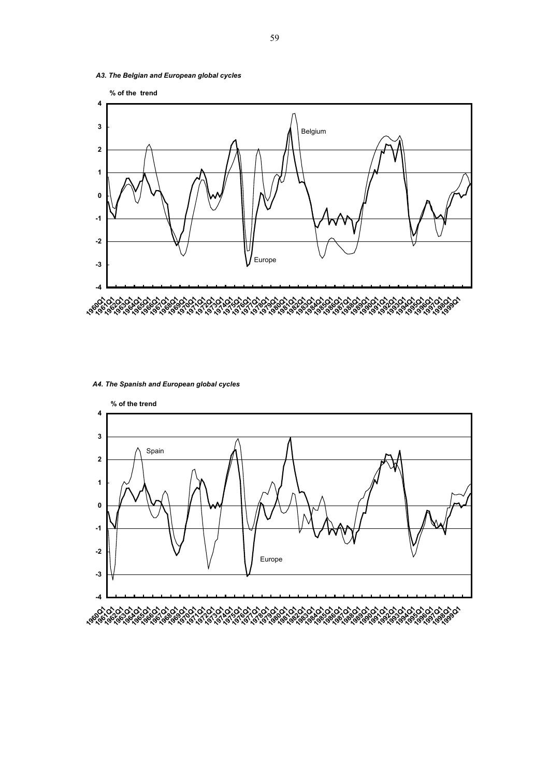*A3. The Belgian and European global cycles* 



#### *A4. The Spanish and European global cycles*

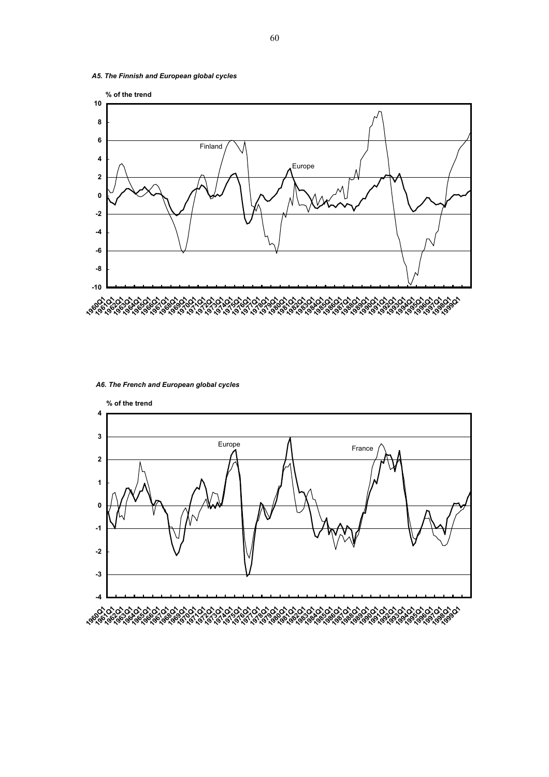*A5. The Finnish and European global cycles* 



*A6. The French and European global cycles* 

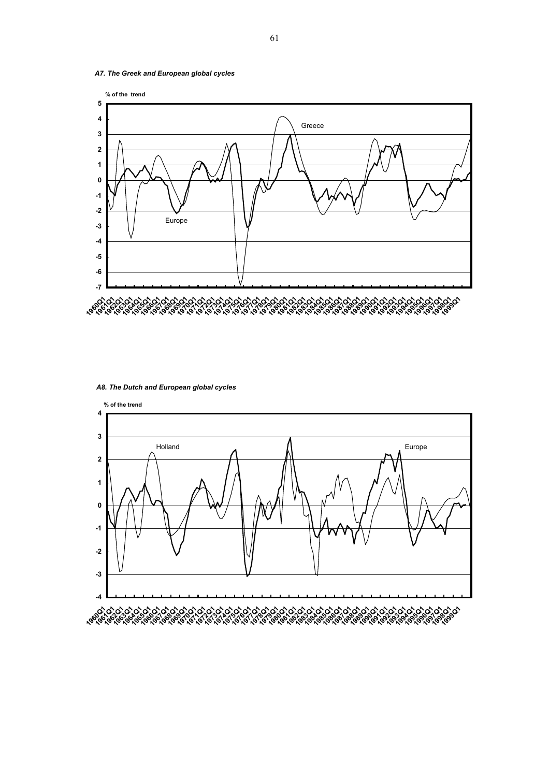*A7. The Greek and European global cycles* 



*A8. The Dutch and European global cycles*



61